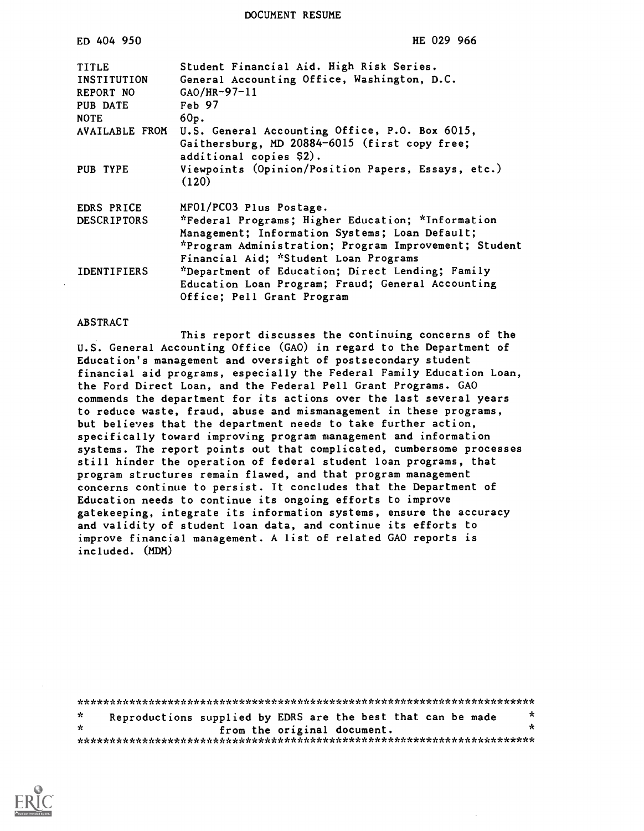DOCUMENT RESUME

| ED 404 950         | HE 029 966                                                  |
|--------------------|-------------------------------------------------------------|
| <b>TITLE</b>       | Student Financial Aid. High Risk Series.                    |
| INSTITUTION        | General Accounting Office, Washington, D.C.                 |
| REPORT NO          | $GAO/HR-97-11$                                              |
| PUB DATE           | Feb 97                                                      |
| <b>NOTE</b>        | 60p.                                                        |
| AVAILABLE FROM     | U.S. General Accounting Office, P.O. Box 6015,              |
|                    | Gaithersburg, MD 20884-6015 (first copy free;               |
|                    | additional copies \$2).                                     |
| PUB TYPE           | Viewpoints (Opinion/Position Papers, Essays, etc.)<br>(120) |
| EDRS PRICE         | MF01/PC03 Plus Postage.                                     |
| <b>DESCRIPTORS</b> | *Federal Programs; Higher Education; *Information           |
|                    | Management; Information Systems; Loan Default;              |
|                    | *Program Administration; Program Improvement; Student       |
|                    | Financial Aid; *Student Loan Programs                       |
| <b>IDENTIFIERS</b> | *Department of Education; Direct Lending; Family            |
|                    | Education Loan Program; Fraud; General Accounting           |
|                    | Office; Pell Grant Program                                  |

#### ABSTRACT

This report discusses the continuing concerns of the U.S. General Accounting Office (GAO) in regard to the Department of Education's management and oversight of postsecondary student financial aid programs, especially the Federal Family Education Loan, the Ford Direct Loan, and the Federal Pell Grant Programs. GAO commends the department for its actions over the last several years to reduce waste, fraud, abuse and mismanagement in these programs, but believes that the department needs to take further action, specifically toward improving program management and information systems. The report points out that complicated, cumbersome processes still hinder the operation of federal student loan programs, that program structures remain flawed, and that program management concerns continue to persist. It concludes that the Department of Education needs to continue its ongoing efforts to improve gatekeeping, integrate its information systems, ensure the accuracy and validity of student loan data, and continue its efforts to improve financial management. A list of related GAO reports is included. (MDM)

| $\pi$   | Reproductions supplied by EDRS are the best that can be made | $\ast$ |
|---------|--------------------------------------------------------------|--------|
| $\star$ | from the original document.                                  |        |
|         |                                                              |        |

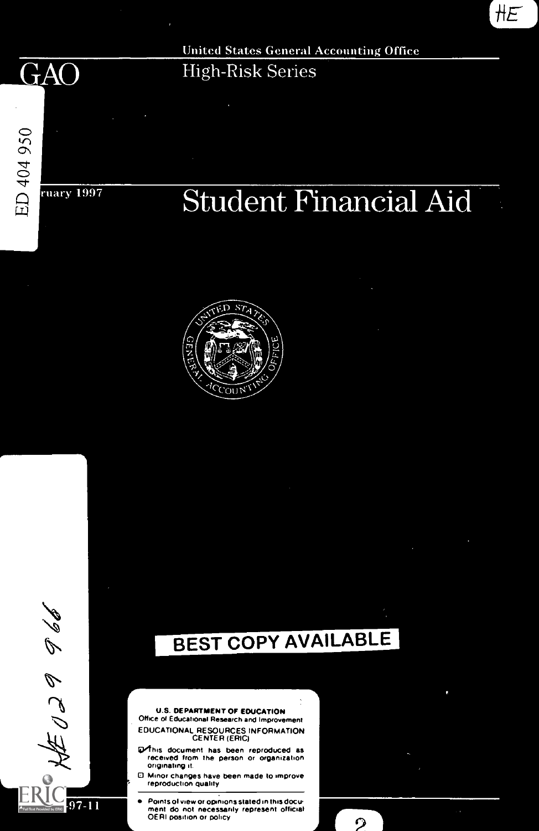**GAO** 

,\4.4

 $\phi$ 

 $\mathcal{L} \subset \mathcal{D}$ .

 $97 - 11$ 

**United States General Accounting Office High-Risk Series** 

ED 404 950 ruary 1997

# dent Financial Aid L

 $HE$ 





2

**U.S. DEPARTMENT OF EDUCATION** Office of Educational Research and Improvement<br>EDUCATIONAL RESOURCES INFORMATION<br>N Office of Educational Research and Improvement

> Vhis document has been reproduced as received from the person or organization originating it

> Minor changes have been made to improve reproduction quality

Points of view or opinions stated in this docu ment do not necessarily represent official OERI position or policy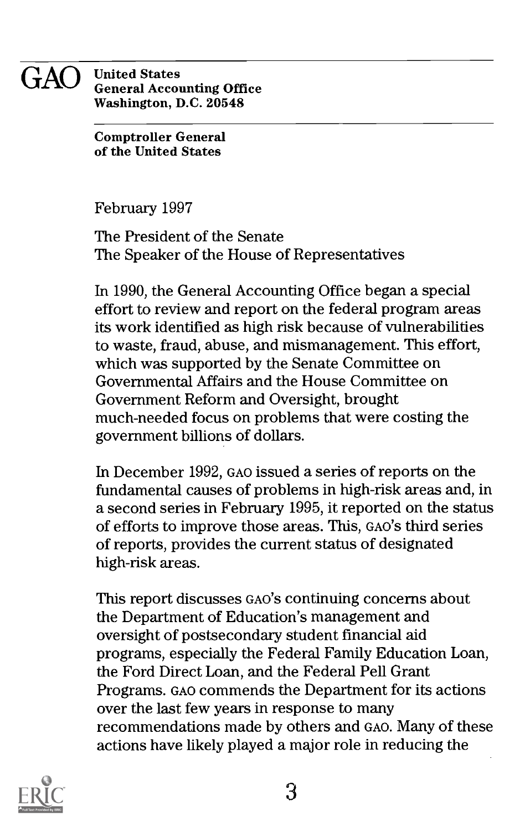### GAO United States General Accounting Office Washington, D.C. 20548

Comptroller General of the United States

February 1997

The President of the Senate The Speaker of the House of Representatives

In 1990, the General Accounting Office began a special effort to review and report on the federal program areas its work identified as high risk because of vulnerabilities to waste, fraud, abuse, and mismanagement. This effort, which was supported by the Senate Committee on Governmental Affairs and the House Committee on Government Reform and Oversight, brought much-needed focus on problems that were costing the government billions of dollars.

In December 1992, GAO issued a series of reports on the fundamental causes of problems in high-risk areas and, in a second series in February 1995, it reported on the status of efforts to improve those areas. This, GAO'S third series of reports, provides the current status of designated high-risk areas.

This report discusses GAO'S continuing concerns about the Department of Education's management and oversight of postsecondary student financial aid programs, especially the Federal Family Education Loan, the Ford Direct Loan, and the Federal Pell Grant Programs. GAO commends the Department for its actions over the last few years in response to many recommendations made by others and GAO. Many of these actions have likely played a major role in reducing the

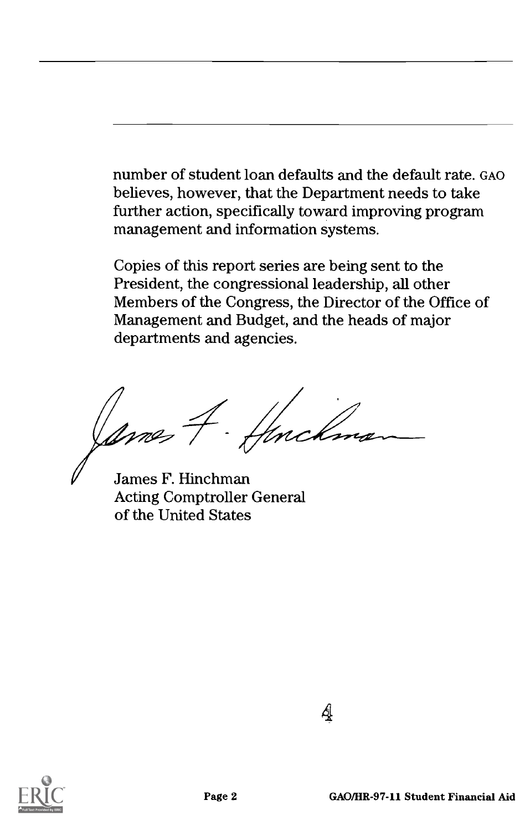number of student loan defaults and the default rate. GAO believes, however, that the Department needs to take further action, specifically toward improving program management and information systems.

Copies of this report series are being sent to the President, the congressional leadership, all other Members of the Congress, the Director of the Office of Management and Budget, and the heads of major departments and agencies.

Ą

Ames 4. Henchman

James F. Hinchman Acting Comptroller General of the United States



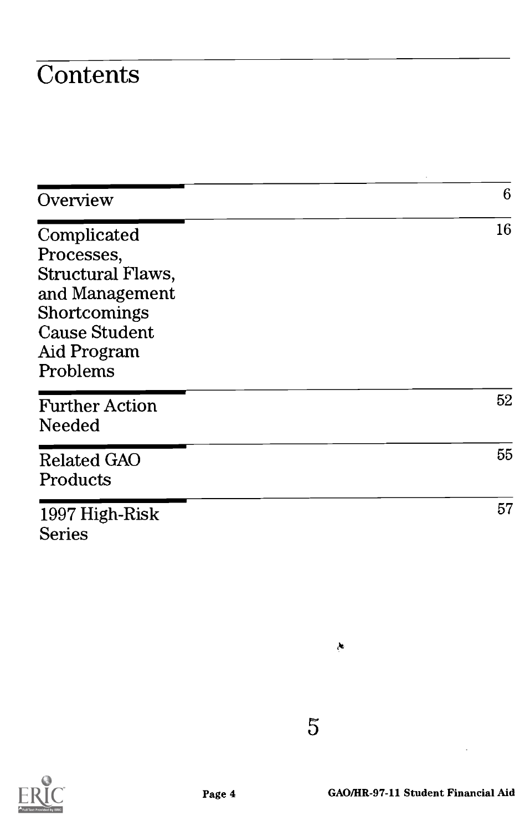### **Contents**

| Overview                                                                                                                                   | 6  |
|--------------------------------------------------------------------------------------------------------------------------------------------|----|
| Complicated<br>Processes,<br><b>Structural Flaws,</b><br>and Management<br>Shortcomings<br><b>Cause Student</b><br>Aid Program<br>Problems | 16 |
| <b>Further Action</b><br>Needed                                                                                                            | 52 |
| <b>Related GAO</b><br>Products                                                                                                             | 55 |
| 1997 High-Risk<br><b>Series</b>                                                                                                            | 57 |

5

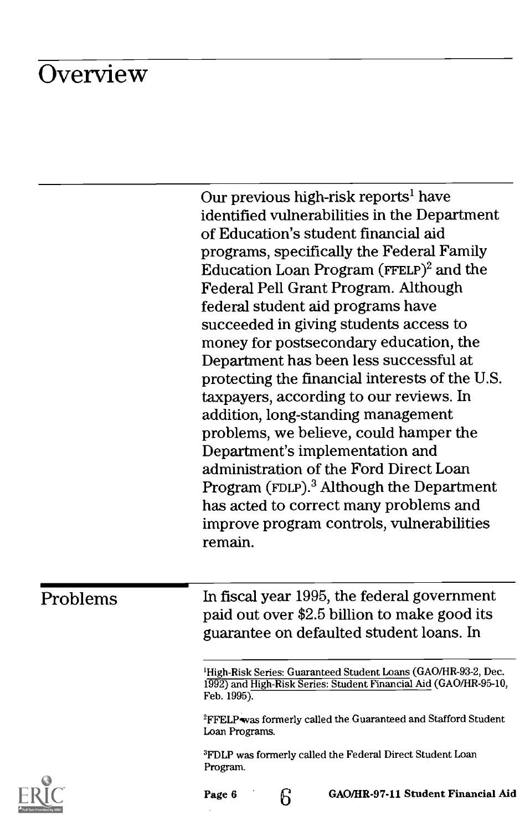### **Overview**

Our previous high-risk reports' have identified vulnerabilities in the Department of Education's student financial aid programs, specifically the Federal Family Education Loan Program (FFELP)<sup>2</sup> and the Federal Pell Grant Program. Although federal student aid programs have succeeded in giving students access to money for postsecondary education, the Department has been less successful at protecting the financial interests of the U.S. taxpayers, according to our reviews. In addition, long-standing management problems, we believe, could hamper the Department's implementation and administration of the Ford Direct Loan Program (FDLP).<sup>3</sup> Although the Department has acted to correct many problems and improve program controls, vulnerabilities remain.

Problems In fiscal year 1995, the federal government paid out over \$2.5 billion to make good its guarantee on defaulted student loans. In

> 'High-Risk Series: Guaranteed Student Loans (GAO/HR-93-2, Dec. 1992) and High-Risk Series: Student Financial Aid (GAO/HR-95-10, Feb. 1995).

<sup>2</sup>FFELP was formerly called the Guaranteed and Stafford Student Loan Programs.

3FDLP was formerly called the Federal Direct Student Loan Program.

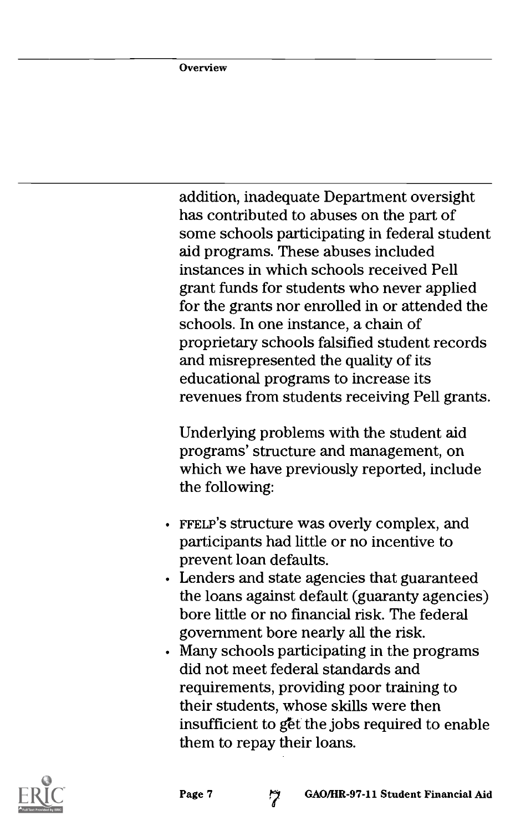addition, inadequate Department oversight has contributed to abuses on the part of some schools participating in federal student aid programs. These abuses included instances in which schools received Pell grant funds for students who never applied for the grants nor enrolled in or attended the schools. In one instance, a chain of proprietary schools falsified student records and misrepresented the quality of its educational programs to increase its revenues from students receiving Pell grants.

Underlying problems with the student aid programs' structure and management, on which we have previously reported, include the following:

- FFELP'S structure was overly complex, and participants had little or no incentive to prevent loan defaults.
- Lenders and state agencies that guaranteed the loans against default (guaranty agencies) bore little or no financial risk. The federal government bore nearly all the risk.
- Many schools participating in the programs did not meet federal standards and requirements, providing poor training to their students, whose skills were then insufficient to g'et the jobs required to enable them to repay their loans.



Page 7 (2) GAO/HR-97-11 Student Financial Aid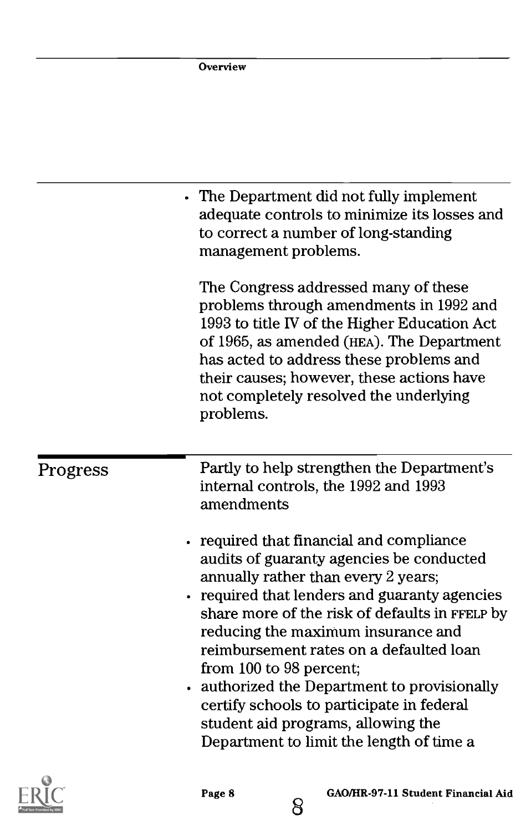|          | Overview                                                                                                                                                                                                                                                                                                                                                                                                                                                                                                                           |
|----------|------------------------------------------------------------------------------------------------------------------------------------------------------------------------------------------------------------------------------------------------------------------------------------------------------------------------------------------------------------------------------------------------------------------------------------------------------------------------------------------------------------------------------------|
|          |                                                                                                                                                                                                                                                                                                                                                                                                                                                                                                                                    |
|          | • The Department did not fully implement<br>adequate controls to minimize its losses and<br>to correct a number of long-standing<br>management problems.                                                                                                                                                                                                                                                                                                                                                                           |
|          | The Congress addressed many of these<br>problems through amendments in 1992 and<br>1993 to title IV of the Higher Education Act<br>of 1965, as amended (HEA). The Department<br>has acted to address these problems and<br>their causes; however, these actions have<br>not completely resolved the underlying<br>problems.                                                                                                                                                                                                        |
| Progress | Partly to help strengthen the Department's<br>internal controls, the 1992 and 1993<br>amendments                                                                                                                                                                                                                                                                                                                                                                                                                                   |
|          | • required that financial and compliance<br>audits of guaranty agencies be conducted<br>annually rather than every 2 years;<br>required that lenders and guaranty agencies<br>$\bullet$<br>share more of the risk of defaults in FFELP by<br>reducing the maximum insurance and<br>reimbursement rates on a defaulted loan<br>from 100 to 98 percent;<br>authorized the Department to provisionally<br>certify schools to participate in federal<br>student aid programs, allowing the<br>Department to limit the length of time a |



8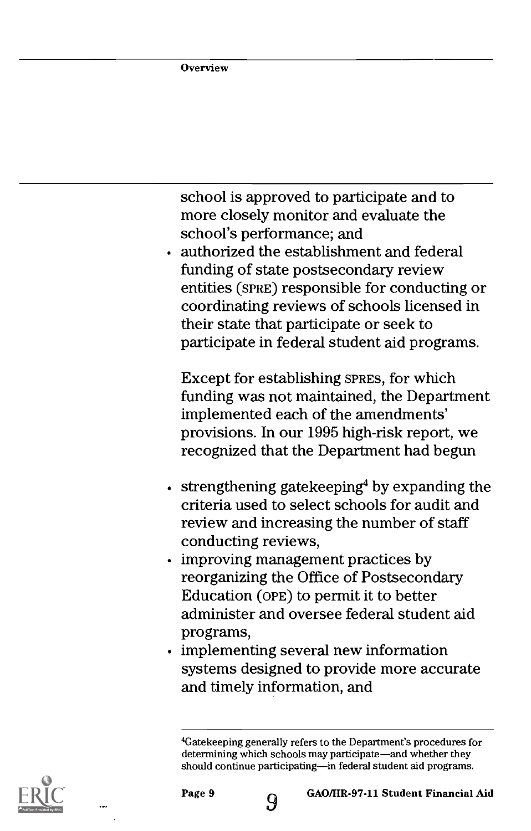school is approved to participate and to more closely monitor and evaluate the school's performance; and

authorized the establishment and federal funding of state postsecondary review entities (sPRE) responsible for conducting or coordinating reviews of schools licensed in their state that participate or seek to participate in federal student aid programs.

Except for establishing SPRES, for which funding was not maintained, the Department implemented each of the amendments' provisions. In our 1995 high-risk report, we recognized that the Department had begun

- $\cdot$  strengthening gatekeeping<sup>4</sup> by expanding the criteria used to select schools for audit and review and increasing the number of staff conducting reviews,
- improving management practices by reorganizing the Office of Postsecondary Education (oPE) to permit it to better administer and oversee federal student aid programs,
- implementing several new information systems designed to provide more accurate and timely information, and



<sup>4</sup>Gatekeeping generally refers to the Department's procedures for determining which schools may participate—and whether they should continue participating-in federal student aid programs.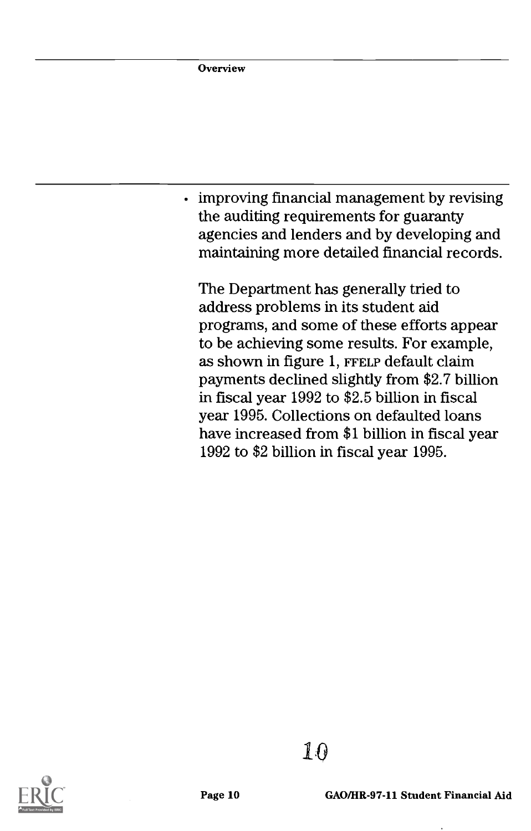Overview

improving financial management by revising the auditing requirements for guaranty agencies and lenders and by developing and maintaining more detailed financial records.

The Department has generally tried to address problems in its student aid programs, and some of these efforts appear to be achieving some results. For example, as shown in figure 1, FFELP default claim payments declined slightly from \$2.7 billion in fiscal year 1992 to \$2.5 billion in fiscal year 1995. Collections on defaulted loans have increased from \$1 billion in fiscal year 1992 to \$2 billion in fiscal year 1995.



1:©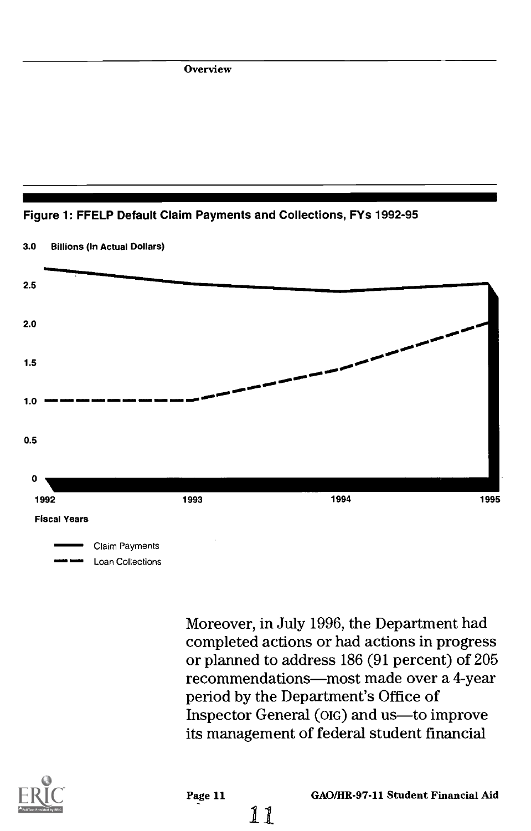Overview





Moreover, in July 1996, the Department had completed actions or had actions in progress or planned to address 186 (91 percent) of 205 recommendations-most made over a 4-year period by the Department's Office of Inspector General (OIG) and us-to improve its management of federal student financial



11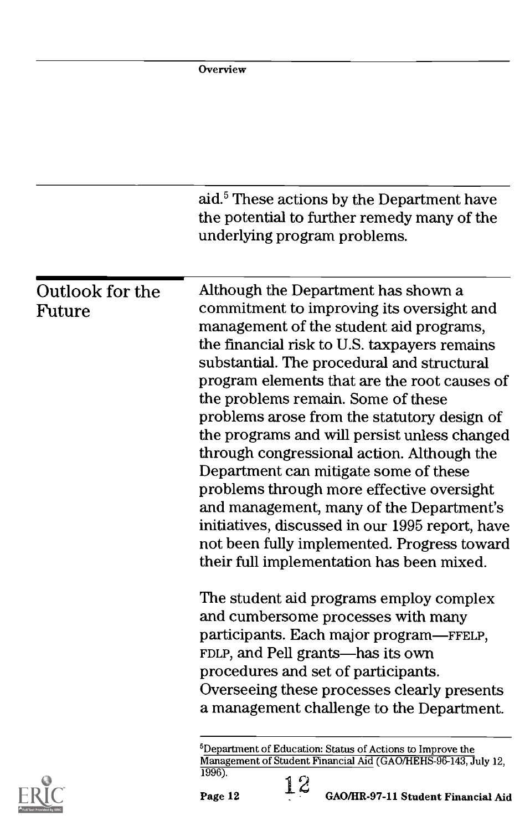|                 | <b>Overview</b>                                                                                                                       |  |
|-----------------|---------------------------------------------------------------------------------------------------------------------------------------|--|
|                 |                                                                                                                                       |  |
|                 |                                                                                                                                       |  |
|                 |                                                                                                                                       |  |
|                 |                                                                                                                                       |  |
|                 | aid. <sup>5</sup> These actions by the Department have<br>the potential to further remedy many of the<br>underlying program problems. |  |
| Outlook for the | Although the Department has shown a<br>commitment to improving its oversight and                                                      |  |
| Future          | management of the student aid programs,                                                                                               |  |
|                 | the financial risk to U.S. taxpayers remains                                                                                          |  |
|                 | substantial. The procedural and structural                                                                                            |  |
|                 | program elements that are the root causes of                                                                                          |  |
|                 | the problems remain. Some of these<br>problems arose from the statutory design of                                                     |  |
|                 | the programs and will persist unless changed                                                                                          |  |
|                 | through congressional action. Although the                                                                                            |  |
|                 | Department can mitigate some of these                                                                                                 |  |
|                 | problems through more effective oversight                                                                                             |  |
|                 | and management, many of the Department's                                                                                              |  |
|                 | initiatives, discussed in our 1995 report, have<br>not been fully implemented. Progress toward                                        |  |
|                 | their full implementation has been mixed.                                                                                             |  |
|                 | The student aid programs employ complex                                                                                               |  |
|                 | and cumbersome processes with many                                                                                                    |  |
|                 | participants. Each major program—FFELP,                                                                                               |  |
|                 | FDLP, and Pell grants-has its own                                                                                                     |  |
|                 | procedures and set of participants.<br>Overseeing these processes clearly presents                                                    |  |
|                 | a management challenge to the Department.                                                                                             |  |
|                 | <sup>5</sup> Department of Education: Status of Actions to Improve the                                                                |  |
|                 | Management of Student Financial Aid (GAO/HEHS-96-143, July 12,<br>1996).<br>י∩ י                                                      |  |

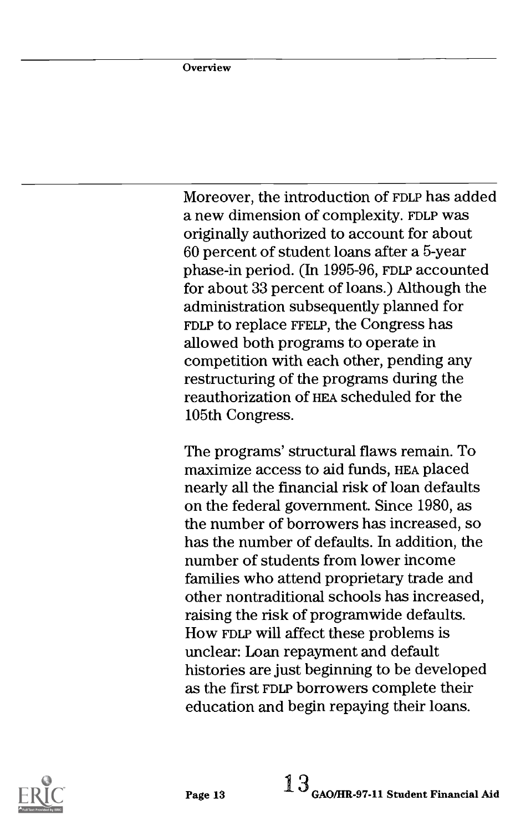Moreover, the introduction of FDLP has added a new dimension of complexity. FDLP was originally authorized to account for about 60 percent of student loans after a 5-year phase-in period. (In 1995-96, FDLP accounted for about 33 percent of loans.) Although the administration subsequently planned for FDLP to replace FFELP, the Congress has allowed both programs to operate in competition with each other, pending any restructuring of the programs during the reauthorization of HEA scheduled for the 105th Congress.

The programs' structural flaws remain. To maximize access to aid funds, HEA placed nearly all the financial risk of loan defaults on the federal government. Since 1980, as the number of borrowers has increased, so has the number of defaults. In addition, the number of students from lower income families who attend proprietary trade and other nontraditional schools has increased, raising the risk of programwide defaults. How FDLP will affect these problems is unclear: Loan repayment and default histories are just beginning to be developed as the first FDLP borrowers complete their education and begin repaying their loans.

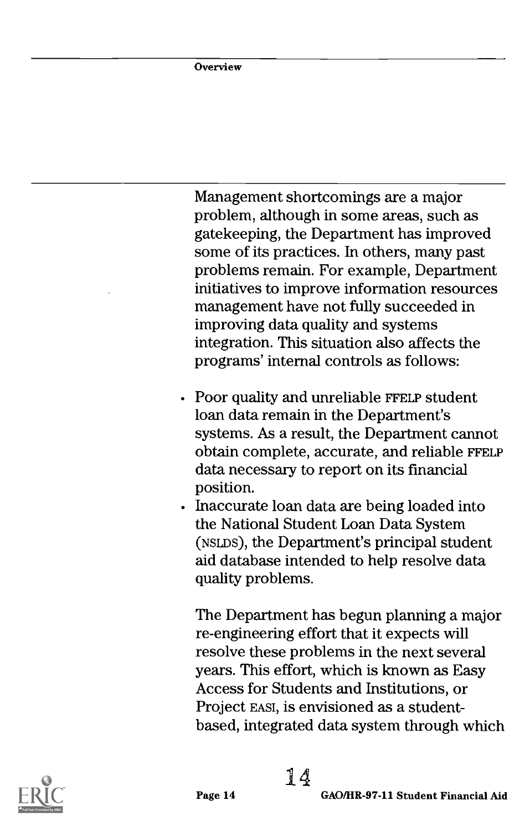Management shortcomings are a major problem, although in some areas, such as gatekeeping, the Department has improved some of its practices. In others, many past problems remain. For example, Department initiatives to improve information resources management have not fully succeeded in improving data quality and systems integration. This situation also affects the programs' internal controls as follows:

- Poor quality and unreliable FFELP student loan data remain in the Department's systems. As a result, the Department cannot obtain complete, accurate, and reliable FFELP data necessary to report on its financial position.
- Inaccurate loan data are being loaded into the National Student Loan Data System (NSLDS), the Department's principal student aid database intended to help resolve data quality problems.

The Department has begun planning a major re-engineering effort that it expects will resolve these problems in the next several years. This effort, which is known as Easy Access for Students and Institutions, or Project EAST, is envisioned as a studentbased, integrated data system through which

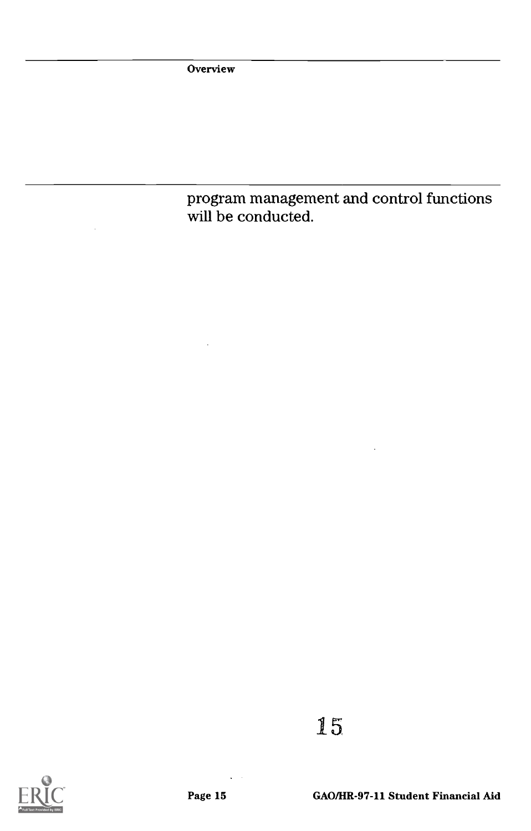**Overview** 

program management and control functions will be conducted.



15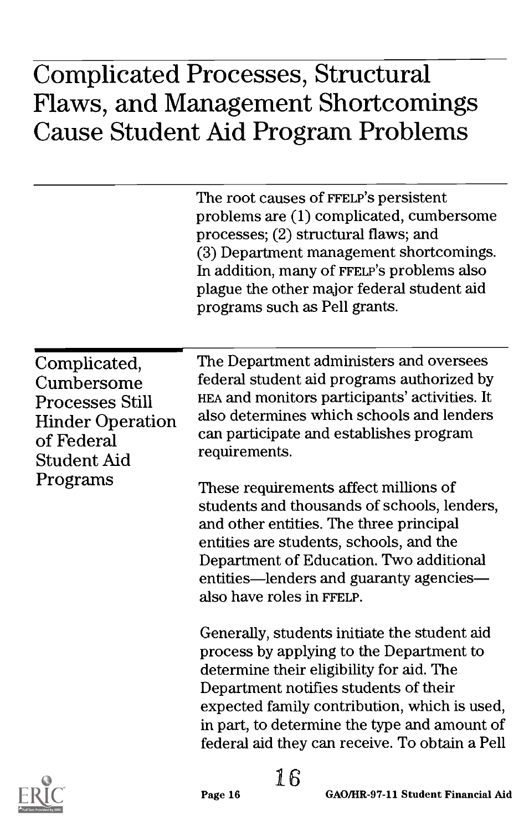|                                                                                                                     | The root causes of FFELP's persistent<br>problems are (1) complicated, cumbersome<br>processes; (2) structural flaws; and<br>(3) Department management shortcomings.<br>In addition, many of FFELP's problems also<br>plague the other major federal student aid<br>programs such as Pell grants.                               |
|---------------------------------------------------------------------------------------------------------------------|---------------------------------------------------------------------------------------------------------------------------------------------------------------------------------------------------------------------------------------------------------------------------------------------------------------------------------|
| Complicated,<br>Cumbersome<br><b>Processes Still</b><br><b>Hinder Operation</b><br>of Federal<br><b>Student Aid</b> | The Department administers and oversees<br>federal student aid programs authorized by<br>HEA and monitors participants' activities. It<br>also determines which schools and lenders<br>can participate and establishes program<br>requirements.                                                                                 |
| Programs                                                                                                            | These requirements affect millions of<br>students and thousands of schools, lenders,<br>and other entities. The three principal<br>entities are students, schools, and the<br>Department of Education. Two additional<br>entities—lenders and guaranty agencies—<br>also have roles in FFELP.                                   |
|                                                                                                                     | Generally, students initiate the student aid<br>process by applying to the Department to<br>determine their eligibility for aid. The<br>Department notifies students of their<br>expected family contribution, which is used,<br>in part, to determine the type and amount of<br>federal aid they can receive. To obtain a Pell |
| शैट                                                                                                                 | 16<br>GAO/HR-97-11 Student Financial Aid<br>Page 16                                                                                                                                                                                                                                                                             |

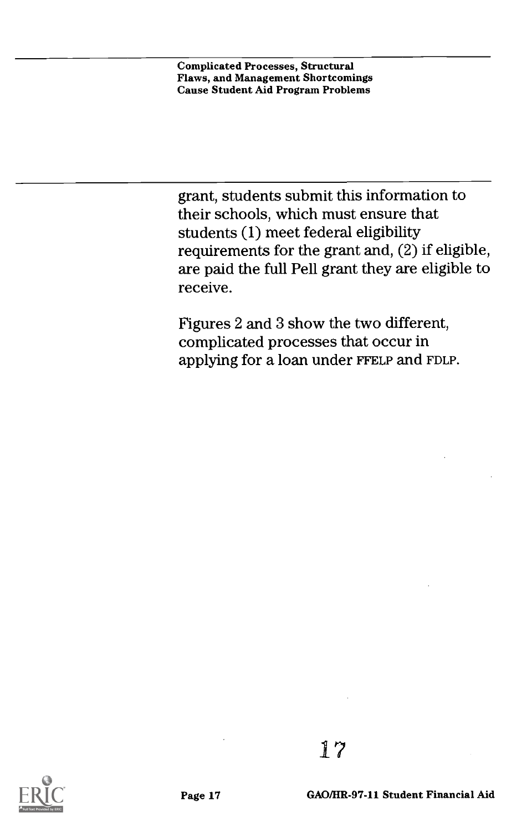grant, students submit this information to their schools, which must ensure that students (1) meet federal eligibility requirements for the grant and, (2) if eligible, are paid the full Pell grant they are eligible to receive.

Figures 2 and 3 show the two different, complicated processes that occur in applying for a loan under FFELP and FDLP.

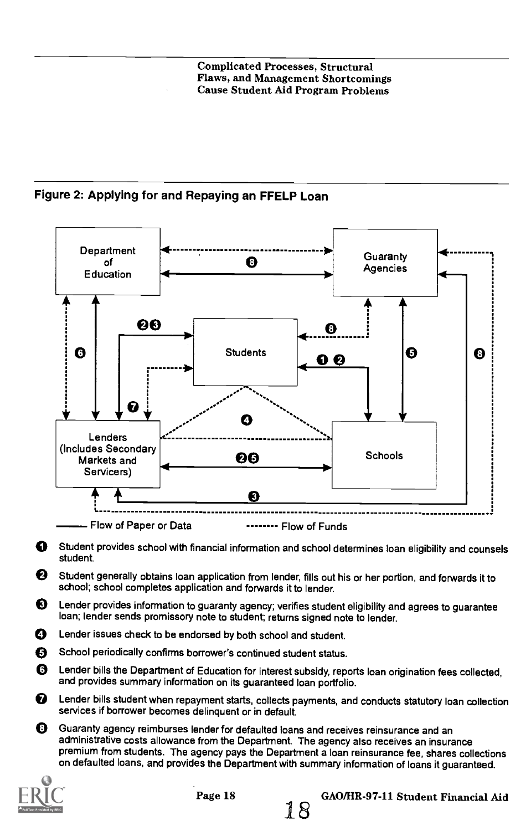Figure 2: Applying for and Repaying an FFELP Loan



O Student provides school with financial information and school determines loan eligibility and counsels student.

- O Student generally obtains loan application from lender, fills out his or her portion, and forwards it to school; school completes application and forwards it to lender.
- $\bigcirc$  Lender provides information to guaranty agency; verifies student eligibility and agrees to guarantee loan; lender sends promissory note to student; returns signed note to lender.
- O Lender issues check to be endorsed by both school and student.
- O School periodically confirms borrower's continued student status.
- O Lender bills the Department of Education for interest subsidy, reports loan origination fees collected, and provides summary information on its guaranteed loan portfolio.
- ⋒ Lender bills student when repayment starts, collects payments, and conducts statutory loan collection services if borrower becomes delinquent or in default.
- O Guaranty agency reimburses lender for defaulted loans and receives reinsurance and an administrative costs allowance from the Department. The agency also receives an insurance premium from students. The agency pays the Department a loan reinsurance fee, shares collections on defaulted loans, and provides the Department with summary information of loans it guaranteed.



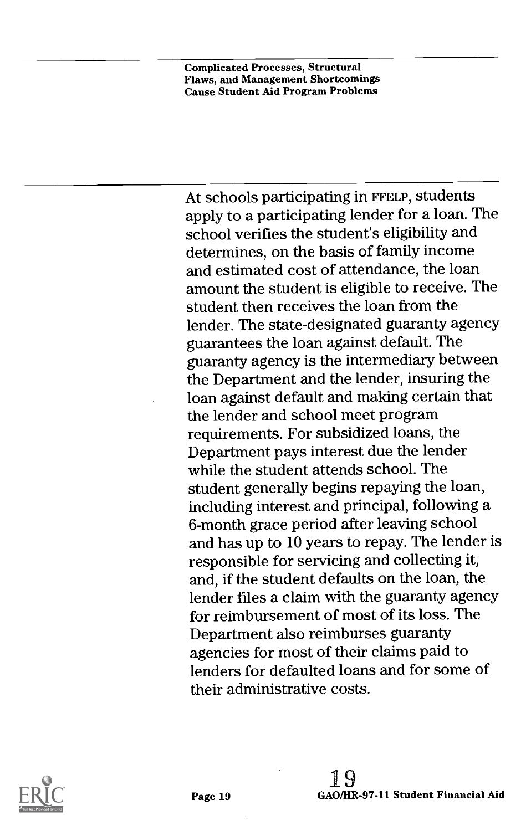At schools participating in FFELP, students apply to a participating lender for a loan. The school verifies the student's eligibility and determines, on the basis of family income and estimated cost of attendance, the loan amount the student is eligible to receive. The student then receives the loan from the lender. The state-designated guaranty agency guarantees the loan against default. The guaranty agency is the intermediary between the Department and the lender, insuring the loan against default and making certain that the lender and school meet program requirements. For subsidized loans, the Department pays interest due the lender while the student attends school. The student generally begins repaying the loan, including interest and principal, following a 6-month grace period after leaving school and has up to 10 years to repay. The lender is responsible for servicing and collecting it, and, if the student defaults on the loan, the lender files a claim with the guaranty agency for reimbursement of most of its loss. The Department also reimburses guaranty agencies for most of their claims paid to lenders for defaulted loans and for some of their administrative costs.

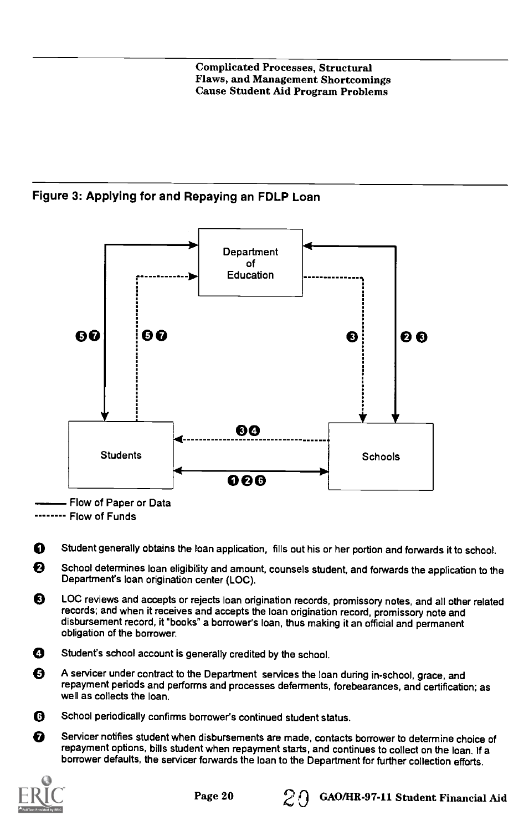#### Figure 3: Applying for and Repaying an FDLP Loan



Flow of Paper or Data

------- Flow of Funds

O Student generally obtains the loan application, fills out his or her portion and forwards it to school.

❷ School determines loan eligibility and amount, counsels student, and forwards the application to the Department's loan origination center (LOC).

❸ LOC reviews and accepts or rejects loan origination records, promissory notes, and all other related records; and when it receives and accepts the loan origination record, promissory note and disbursement record, it "books" a borrower's loan, thus making it an official and permanent obligation of the borrower.

- O Student's school account is generally credited by the school.
- O A servicer under contract to the Department services the loan during in-school, grace, and repayment periods and performs and processes deferments, forebearances, and certification; as well as collects the loan.
- O School periodically confirms borrower's continued student status.
- Servicer notifies student when disbursements are made, contacts borrower to determine choice of の repayment options, bills student when repayment starts, and continues to collect on the loan. If a borrower defaults, the servicer forwards the loan to the Department for further collection efforts.

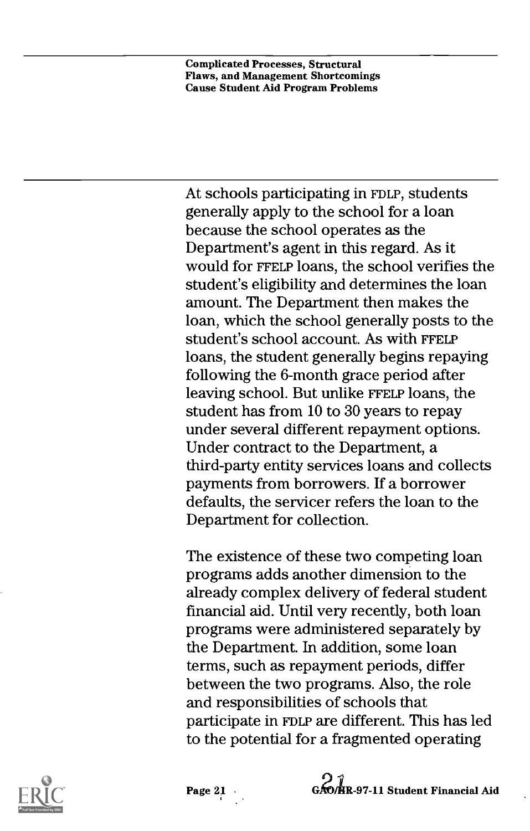At schools participating in FDLP, students generally apply to the school for a loan because the school operates as the Department's agent in this regard. As it would for FFELP loans, the school verifies the student's eligibility and determines the loan amount. The Department then makes the loan, which the school generally posts to the student's school account. As with FFELP loans, the student generally begins repaying following the 6-month grace period after leaving school. But unlike FFELP loans, the student has from 10 to 30 years to repay under several different repayment options. Under contract to the Department, a third-party entity services loans and collects payments from borrowers. If a borrower defaults, the servicer refers the loan to the Department for collection.

The existence of these two competing loan programs adds another dimension to the already complex delivery of federal student financial aid. Until very recently, both loan programs were administered separately by the Department. In addition, some loan terms, such as repayment periods, differ between the two programs. Also, the role and responsibilities of schools that participate in FDLP are different. This has led to the potential for a fragmented operating



Page 21 GAO/HR-97-11 Student Financial Aid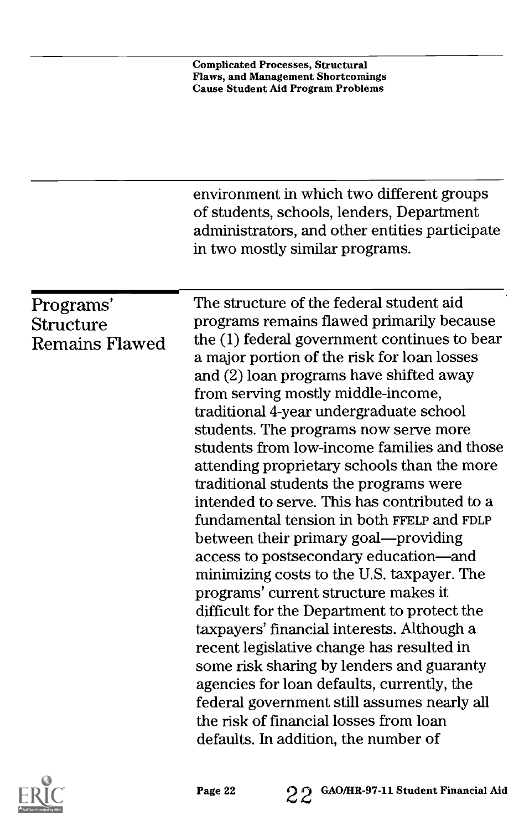|                                                 | <b>Complicated Processes, Structural</b><br><b>Flaws, and Management Shortcomings</b><br><b>Cause Student Aid Program Problems</b>                                                                                                                                                                                                                                                                                                                                                                                                                                                                                                                                                                                                                                                                                                                                                                                                                                                                                                                                                                                                           |
|-------------------------------------------------|----------------------------------------------------------------------------------------------------------------------------------------------------------------------------------------------------------------------------------------------------------------------------------------------------------------------------------------------------------------------------------------------------------------------------------------------------------------------------------------------------------------------------------------------------------------------------------------------------------------------------------------------------------------------------------------------------------------------------------------------------------------------------------------------------------------------------------------------------------------------------------------------------------------------------------------------------------------------------------------------------------------------------------------------------------------------------------------------------------------------------------------------|
|                                                 | environment in which two different groups<br>of students, schools, lenders, Department<br>administrators, and other entities participate<br>in two mostly similar programs.                                                                                                                                                                                                                                                                                                                                                                                                                                                                                                                                                                                                                                                                                                                                                                                                                                                                                                                                                                  |
| Programs'<br>Structure<br><b>Remains Flawed</b> | The structure of the federal student aid<br>programs remains flawed primarily because<br>the (1) federal government continues to bear<br>a major portion of the risk for loan losses<br>and (2) loan programs have shifted away<br>from serving mostly middle-income,<br>traditional 4-year undergraduate school<br>students. The programs now serve more<br>students from low-income families and those<br>attending proprietary schools than the more<br>traditional students the programs were<br>intended to serve. This has contributed to a<br>fundamental tension in both FFELP and FDLP<br>between their primary goal—providing<br>access to postsecondary education—and<br>minimizing costs to the U.S. taxpayer. The<br>programs' current structure makes it<br>difficult for the Department to protect the<br>taxpayers' financial interests. Although a<br>recent legislative change has resulted in<br>some risk sharing by lenders and guaranty<br>agencies for loan defaults, currently, the<br>federal government still assumes nearly all<br>the risk of financial losses from loan<br>defaults. In addition, the number of |

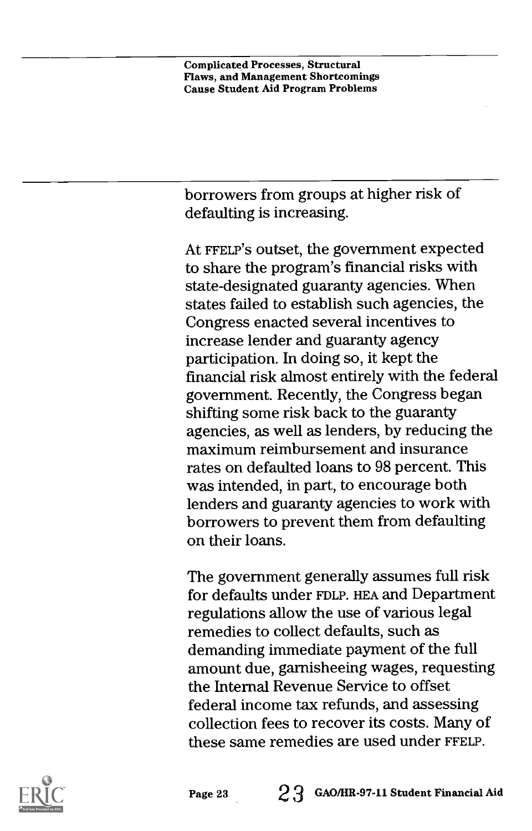borrowers from groups at higher risk of defaulting is increasing.

At FFELP'S outset, the government expected to share the program's financial risks with state-designated guaranty agencies. When states failed to establish such agencies, the Congress enacted several incentives to increase lender and guaranty agency participation. In doing so, it kept the financial risk almost entirely with the federal government. Recently, the Congress began shifting some risk back to the guaranty agencies, as well as lenders, by reducing the maximum reimbursement and insurance rates on defaulted loans to 98 percent. This was intended, in part, to encourage both lenders and guaranty agencies to work with borrowers to prevent them from defaulting on their loans.

The government generally assumes full risk for defaults under FDLP. HEA and Department regulations allow the use of various legal remedies to collect defaults, such as demanding immediate payment of the full amount due, garnisheeing wages, requesting the Internal Revenue Service to offset federal income tax refunds, and assessing collection fees to recover its costs. Many of these same remedies are used under FFELP.

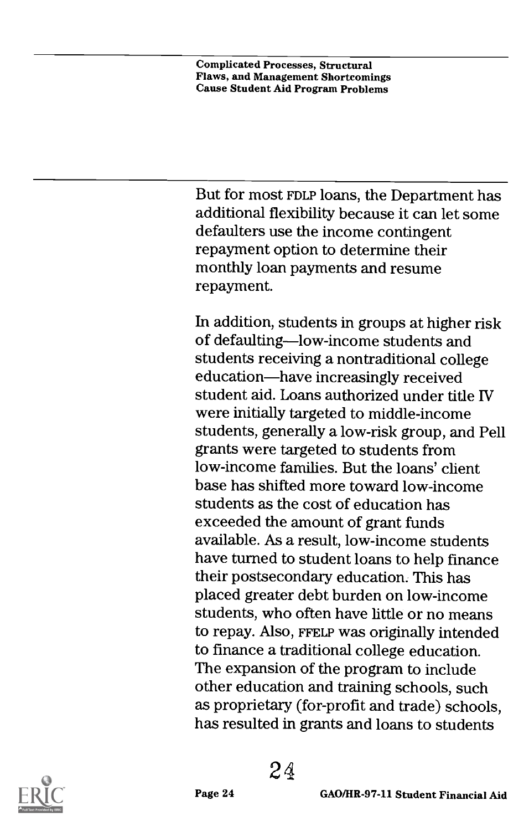But for most FDLP loans, the Department has additional flexibility because it can let some defaulters use the income contingent repayment option to determine their monthly loan payments and resume repayment.

In addition, students in groups at higher risk of defaulting-low-income students and students receiving a nontraditional college education—have increasingly received student aid. Loans authorized under title IV were initially targeted to middle-income students, generally a low-risk group, and Pell grants were targeted to students from low-income families. But the loans' client base has shifted more toward low-income students as the cost of education has exceeded the amount of grant funds available. As a result, low-income students have turned to student loans to help finance their postsecondary education. This has placed greater debt burden on low-income students, who often have little or no means to repay. Also, FFELP was originally intended to finance a traditional college education. The expansion of the program to include other education and training schools, such as proprietary (for-profit and trade) schools, has resulted in grants and loans to students

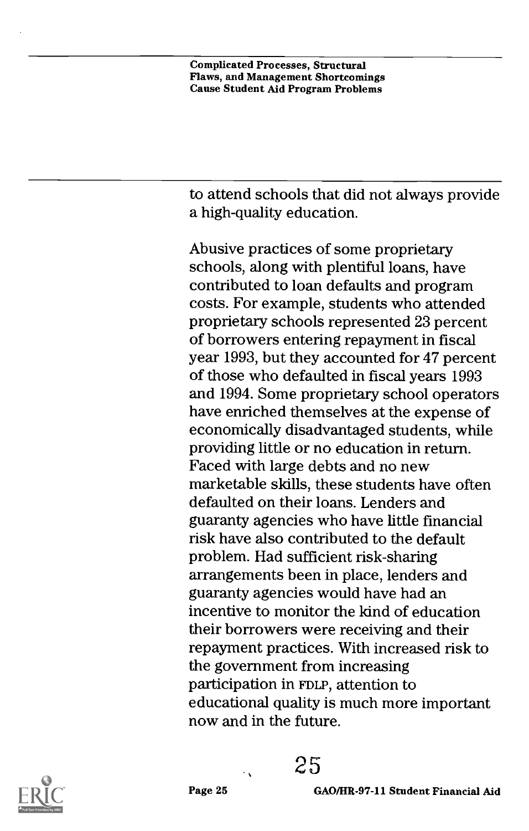to attend schools that did not always provide a high-quality education.

Abusive practices of some proprietary schools, along with plentiful loans, have contributed to loan defaults and program costs. For example, students who attended proprietary schools represented 23 percent of borrowers entering repayment in fiscal year 1993, but they accounted for 47 percent of those who defaulted in fiscal years 1993 and 1994. Some proprietary school operators have enriched themselves at the expense of economically disadvantaged students, while providing little or no education in return. Faced with large debts and no new marketable skills, these students have often defaulted on their loans. Lenders and guaranty agencies who have little financial risk have also contributed to the default problem. Had sufficient risk-sharing arrangements been in place, lenders and guaranty agencies would have had an incentive to monitor the kind of education their borrowers were receiving and their repayment practices. With increased risk to the government from increasing participation in FDLP, attention to educational quality is much more important now and in the future.



25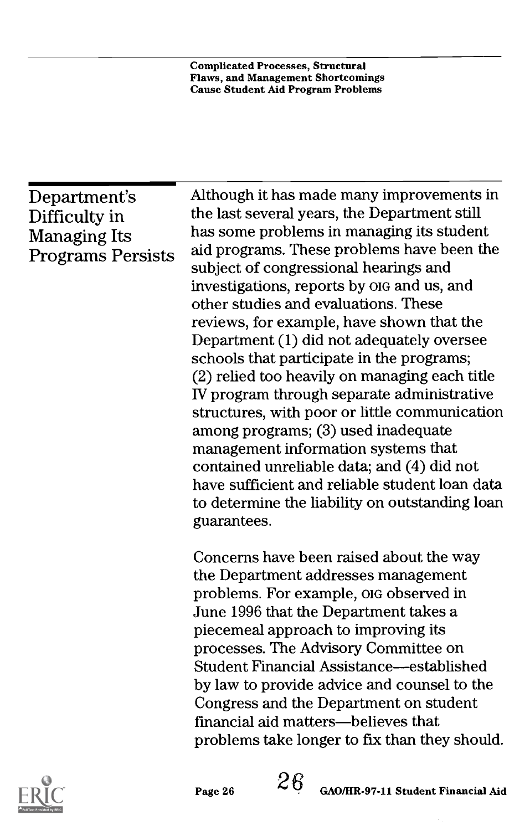### Department's Difficulty in Managing Its Programs Persists

Although it has made many improvements in the last several years, the Department still has some problems in managing its student aid programs. These problems have been the subject of congressional hearings and investigations, reports by OIG and us, and other studies and evaluations. These reviews, for example, have shown that the Department (1) did not adequately oversee schools that participate in the programs; (2) relied too heavily on managing each title IV program through separate administrative structures, with poor or little communication among programs; (3) used inadequate management information systems that contained unreliable data; and (4) did not have sufficient and reliable student loan data to determine the liability on outstanding loan guarantees.

Concerns have been raised about the way the Department addresses management problems. For example, OIG observed in June 1996 that the Department takes a piecemeal approach to improving its processes. The Advisory Committee on Student Financial Assistance—established by law to provide advice and counsel to the Congress and the Department on student financial aid matters—believes that problems take longer to fix than they should.



Page 26  $26\rm$  GAO/HR-97-11 Student Financial Aid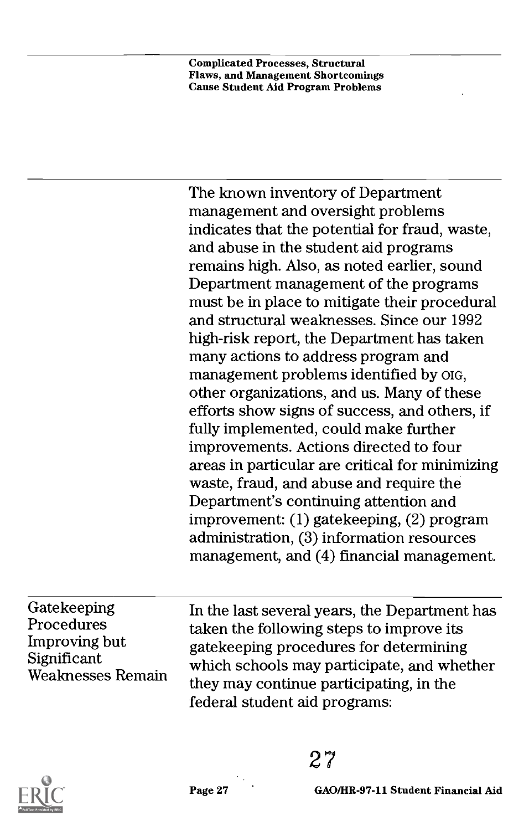The known inventory of Department management and oversight problems indicates that the potential for fraud, waste, and abuse in the student aid programs remains high. Also, as noted earlier, sound Department management of the programs must be in place to mitigate their procedural and structural weaknesses. Since our 1992 high-risk report, the Department has taken many actions to address program and management problems identified by OIG, other organizations, and us. Many of these efforts show signs of success, and others, if fully implemented, could make further improvements. Actions directed to four areas in particular are critical for minimizing waste, fraud, and abuse and require the Department's continuing attention and improvement: (1) gatekeeping, (2) program administration, (3) information resources management, and (4) financial management.

Gatekeeping Procedures Improving but Significant Weaknesses Remain In the last several years, the Department has taken the following steps to improve its gatekeeping procedures for determining which schools may participate, and whether they may continue participating, in the federal student aid programs:

27



Page 27 GAO/HR-97-11 Student Financial Aid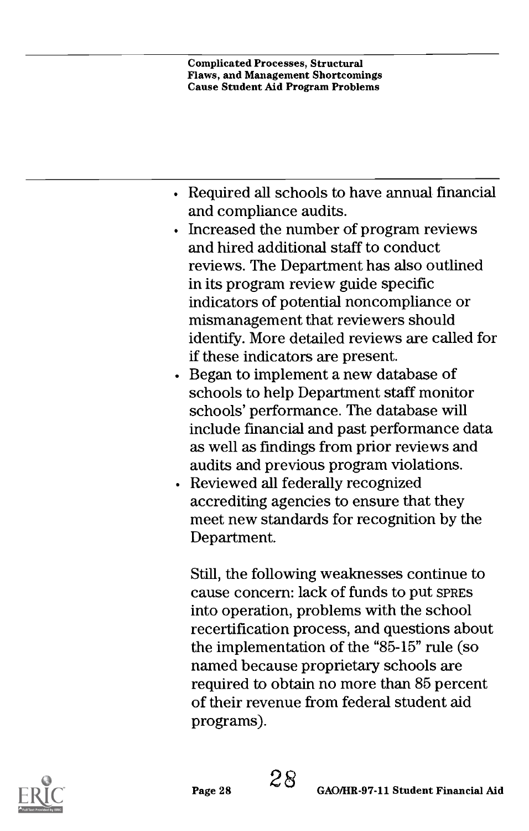- Required all schools to have annual financial and compliance audits.
- Increased the number of program reviews and hired additional staff to conduct reviews. The Department has also outlined in its program review guide specific indicators of potential noncompliance or mismanagement that reviewers should identify. More detailed reviews are called for if these indicators are present.
- Exercise Began to implement a new database of schools to help Department staff monitor schools' performance. The database will include financial and past performance data as well as findings from prior reviews and audits and previous program violations.
- Reviewed all federally recognized accrediting agencies to ensure that they meet new standards for recognition by the Department.

Still, the following weaknesses continue to cause concern: lack of funds to put SPRES into operation, problems with the school recertification process, and questions about the implementation of the "85-15" rule (so named because proprietary schools are required to obtain no more than 85 percent of their revenue from federal student aid programs).

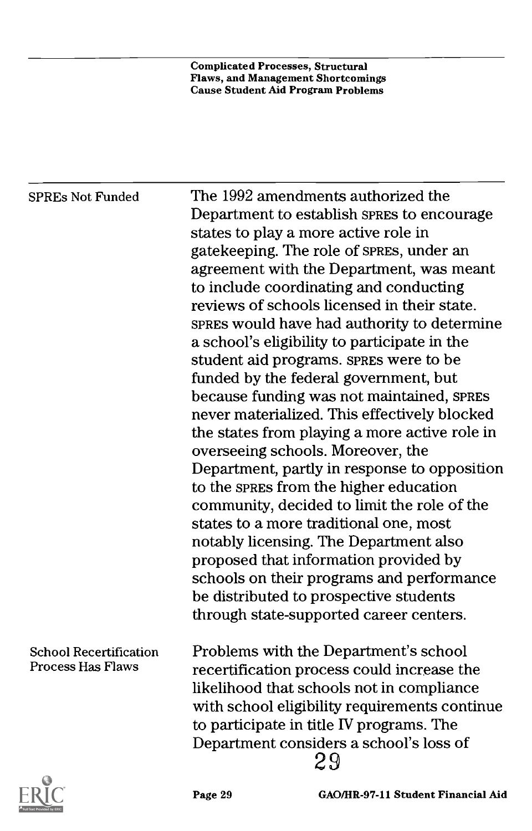| <b>SPREs Not Funded</b>       | The 1992 amendments authorized the<br>Department to establish SPRES to encourage<br>states to play a more active role in<br>gatekeeping. The role of SPRES, under an<br>agreement with the Department, was meant |
|-------------------------------|------------------------------------------------------------------------------------------------------------------------------------------------------------------------------------------------------------------|
|                               | to include coordinating and conducting<br>reviews of schools licensed in their state.                                                                                                                            |
|                               | SPRES would have had authority to determine                                                                                                                                                                      |
|                               | a school's eligibility to participate in the                                                                                                                                                                     |
|                               | student aid programs. SPRES were to be                                                                                                                                                                           |
|                               | funded by the federal government, but                                                                                                                                                                            |
|                               | because funding was not maintained, SPRES<br>never materialized. This effectively blocked                                                                                                                        |
|                               | the states from playing a more active role in                                                                                                                                                                    |
|                               | overseeing schools. Moreover, the                                                                                                                                                                                |
|                               | Department, partly in response to opposition                                                                                                                                                                     |
|                               | to the spress from the higher education                                                                                                                                                                          |
|                               | community, decided to limit the role of the                                                                                                                                                                      |
|                               | states to a more traditional one, most                                                                                                                                                                           |
|                               | notably licensing. The Department also                                                                                                                                                                           |
|                               | proposed that information provided by                                                                                                                                                                            |
|                               | schools on their programs and performance                                                                                                                                                                        |
|                               | be distributed to prospective students                                                                                                                                                                           |
|                               | through state-supported career centers.                                                                                                                                                                          |
| <b>School Recertification</b> | Problems with the Department's school                                                                                                                                                                            |
| Process Has Flaws             | recertification process could increase the                                                                                                                                                                       |
|                               | likelihood that schools not in compliance                                                                                                                                                                        |
|                               | with school eligibility requirements continue                                                                                                                                                                    |
|                               | to participate in title IV programs. The                                                                                                                                                                         |
|                               | Department considers a school's loss of<br>29                                                                                                                                                                    |
|                               |                                                                                                                                                                                                                  |



Page 29 GAO/HR-97-11 Student Financial Aid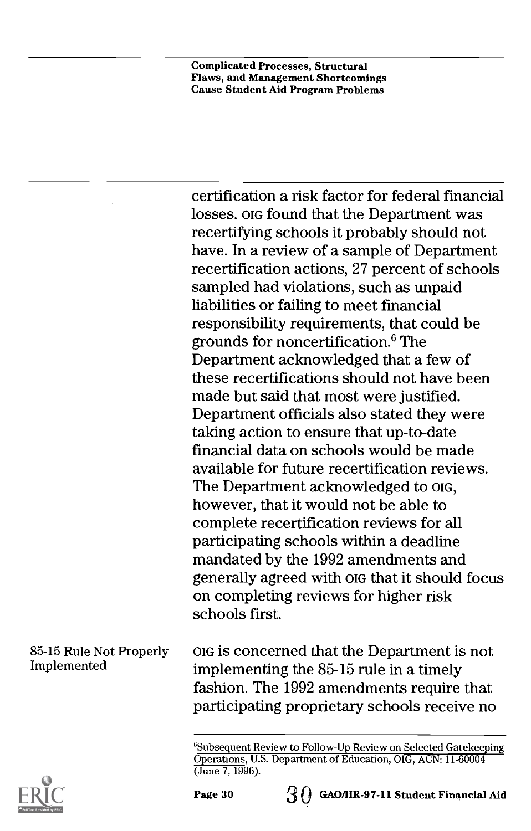certification a risk factor for federal financial losses. OIG found that the Department was recertifying schools it probably should not have. In a review of a sample of Department recertification actions, 27 percent of schools sampled had violations, such as unpaid liabilities or failing to meet financial responsibility requirements, that could be grounds for noncertification.6 The Department acknowledged that a few of these recertifications should not have been made but said that most were justified. Department officials also stated they were taking action to ensure that up-to-date financial data on schools would be made available for future recertification reviews. The Department acknowledged to OIG, however, that it would not be able to complete recertification reviews for all participating schools within a deadline mandated by the 1992 amendments and generally agreed with OIG that it should focus on completing reviews for higher risk schools first.

85-15 Rule Not Properly OIG is concerned that the Department is not implementing the 85-15 rule in a timely fashion. The 1992 amendments require that participating proprietary schools receive no



Implemented

<sup>&</sup>lt;sup>6</sup>Subsequent Review to Follow-Up Review on Selected Gatekeeping Operations, U.S. Department of Education, OIG, ACN: 11-60004 (June 7, 1996).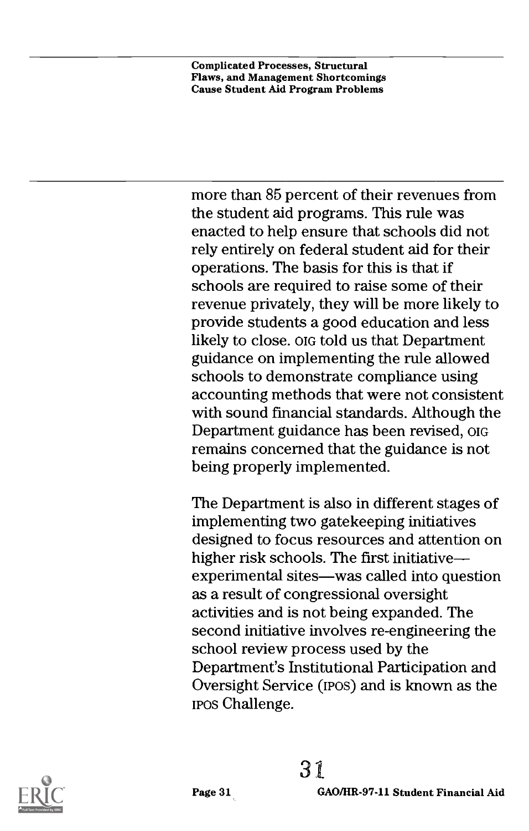more than 85 percent of their revenues from the student aid programs. This rule was enacted to help ensure that schools did not rely entirely on federal student aid for their operations. The basis for this is that if schools are required to raise some of their revenue privately, they will be more likely to provide students a good education and less likely to close. OIG told us that Department guidance on implementing the rule allowed schools to demonstrate compliance using accounting methods that were not consistent with sound financial standards. Although the Department guidance has been revised, OIG remains concerned that the guidance is not being properly implemented.

The Department is also in different stages of implementing two gatekeeping initiatives designed to focus resources and attention on higher risk schools. The first initiative experimental sites—was called into question as a result of congressional oversight activities and is not being expanded. The second initiative involves re-engineering the school review process used by the Department's Institutional Participation and Oversight Service (mos) and is known as the IPOS Challenge.

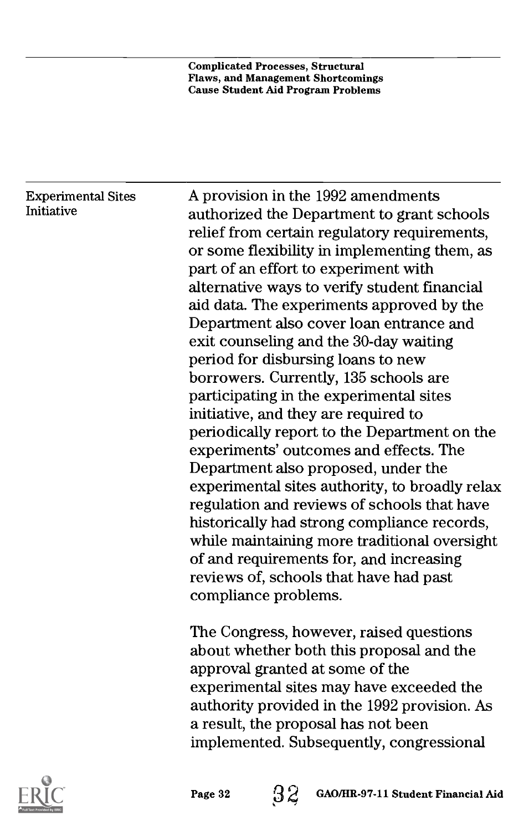#### Experimental Sites Initiative

A provision in the 1992 amendments authorized the Department to grant schools relief from certain regulatory requirements, or some flexibility in implementing them, as part of an effort to experiment with alternative ways to verify student financial aid data. The experiments approved by the Department also cover loan entrance and exit counseling and the 30-day waiting period for disbursing loans to new borrowers. Currently, 135 schools are participating in the experimental sites initiative, and they are required to periodically report to the Department on the experiments' outcomes and effects. The Department also proposed, under the experimental sites authority, to broadly relax regulation and reviews of schools that have historically had strong compliance records, while maintaining more traditional oversight of and requirements for, and increasing reviews of, schools that have had past compliance problems.

The Congress, however, raised questions about whether both this proposal and the approval granted at some of the experimental sites may have exceeded the authority provided in the 1992 provision. As a result, the proposal has not been implemented. Subsequently, congressional

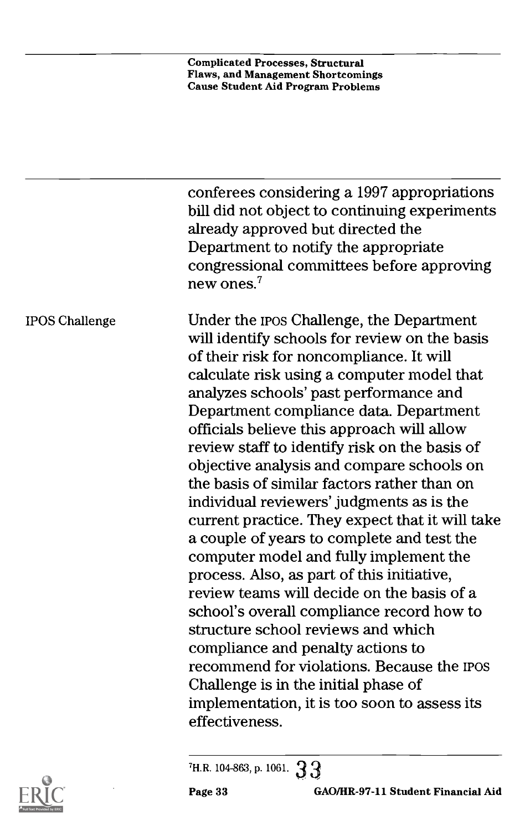|                       | conferees considering a 1997 appropriations<br>bill did not object to continuing experiments<br>already approved but directed the<br>Department to notify the appropriate<br>congressional committees before approving<br>new ones. $7$                                                                                                                                                                                                                                                                                                                                                                                                                                                                                                                                                                                                                                                                                                                                                                                                |
|-----------------------|----------------------------------------------------------------------------------------------------------------------------------------------------------------------------------------------------------------------------------------------------------------------------------------------------------------------------------------------------------------------------------------------------------------------------------------------------------------------------------------------------------------------------------------------------------------------------------------------------------------------------------------------------------------------------------------------------------------------------------------------------------------------------------------------------------------------------------------------------------------------------------------------------------------------------------------------------------------------------------------------------------------------------------------|
| <b>IPOS Challenge</b> | Under the ipos Challenge, the Department<br>will identify schools for review on the basis<br>of their risk for noncompliance. It will<br>calculate risk using a computer model that<br>analyzes schools' past performance and<br>Department compliance data. Department<br>officials believe this approach will allow<br>review staff to identify risk on the basis of<br>objective analysis and compare schools on<br>the basis of similar factors rather than on<br>individual reviewers' judgments as is the<br>current practice. They expect that it will take<br>a couple of years to complete and test the<br>computer model and fully implement the<br>process. Also, as part of this initiative,<br>review teams will decide on the basis of a<br>school's overall compliance record how to<br>structure school reviews and which<br>compliance and penalty actions to<br>recommend for violations. Because the IPOS<br>Challenge is in the initial phase of<br>implementation, it is too soon to assess its<br>effectiveness. |
|                       |                                                                                                                                                                                                                                                                                                                                                                                                                                                                                                                                                                                                                                                                                                                                                                                                                                                                                                                                                                                                                                        |





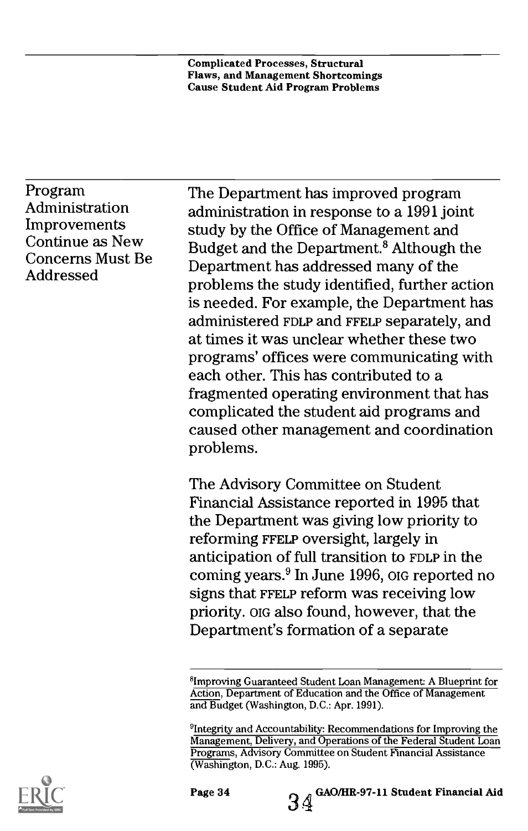Program Administration Improvements Continue as New Concerns Must Be Addressed

The Department has improved program administration in response to a 1991 joint study by the Office of Management and Budget and the Department.<sup>8</sup> Although the Department has addressed many of the problems the study identified, further action is needed. For example, the Department has administered FDLP and FFELP separately, and at times it was unclear whether these two programs' offices were communicating with each other. This has contributed to a fragmented operating environment that has complicated the student aid programs and caused other management and coordination problems.

The Advisory Committee on Student Financial Assistance reported in 1995 that the Department was giving low priority to reforming FFELP oversight, largely in anticipation of full transition to FDLP in the coming years.9 In June 1996, OIG reported no signs that FFELP reform was receiving low priority. OIG also found, however, that the Department's formation of a separate





<sup>&</sup>lt;sup>8</sup>Improving Guaranteed Student Loan Management: A Blueprint for Action, Department of Education and the Office of Management and Budget (Washington, D.C.: Apr. 1991).

<sup>9</sup>lntegrity and Accountability: Recommendations for Improving the Management, Delivery, and Operations of the Federal Student Loan Programs, Advisory Committee on Student Financial Assistance (Washington, D.C.: Aug. 1995).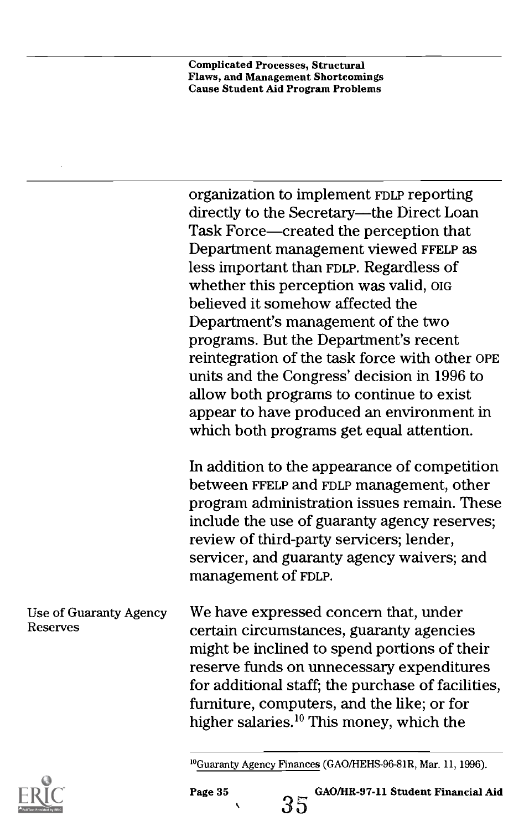organization to implement FDLP reporting directly to the Secretary-the Direct Loan Task Force—created the perception that Department management viewed FFELP as less important than FDLP. Regardless of whether this perception was valid, OIG believed it somehow affected the Department's management of the two programs. But the Department's recent reintegration of the task force with other OPE units and the Congress' decision in 1996 to allow both programs to continue to exist appear to have produced an environment in which both programs get equal attention.

In addition to the appearance of competition between FFELP and FDLP management, other program administration issues remain. These include the use of guaranty agency reserves; review of third-party servicers; lender, servicer, and guaranty agency waivers; and management of FDLP.

Use of Guaranty Agency Reserves We have expressed concern that, under certain circumstances, guaranty agencies might be inclined to spend portions of their reserve funds on unnecessary expenditures for additional staff; the purchase of facilities, furniture, computers, and the like; or for higher salaries. $^{10}$  This money, which the





<sup>1°</sup>Guaranty Agency Finances (GAO/HEHS-96-81R, Mar. 11, 1996).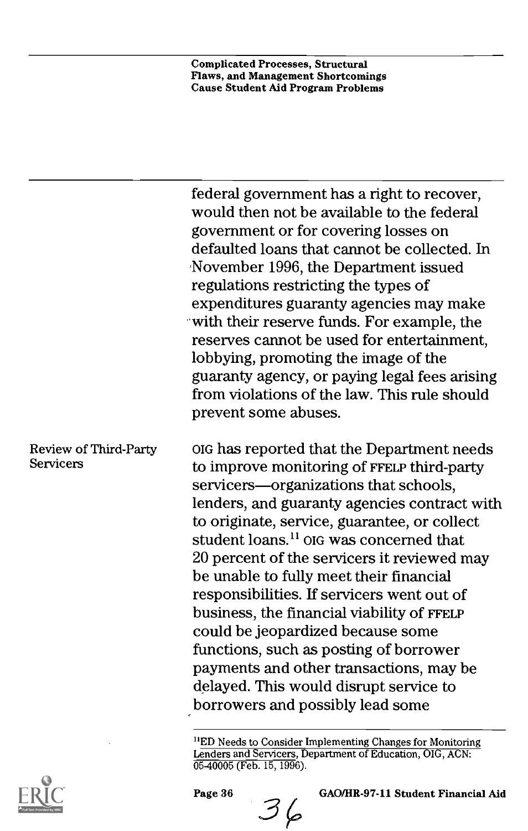|                                    | federal government has a right to recover,<br>would then not be available to the federal<br>government or for covering losses on<br>defaulted loans that cannot be collected. In<br>November 1996, the Department issued<br>regulations restricting the types of<br>expenditures guaranty agencies may make<br>with their reserve funds. For example, the<br>reserves cannot be used for entertainment,<br>lobbying, promoting the image of the                                                                                                                                                                                                                                        |
|------------------------------------|----------------------------------------------------------------------------------------------------------------------------------------------------------------------------------------------------------------------------------------------------------------------------------------------------------------------------------------------------------------------------------------------------------------------------------------------------------------------------------------------------------------------------------------------------------------------------------------------------------------------------------------------------------------------------------------|
|                                    | guaranty agency, or paying legal fees arising<br>from violations of the law. This rule should<br>prevent some abuses.                                                                                                                                                                                                                                                                                                                                                                                                                                                                                                                                                                  |
| Review of Third-Party<br>Servicers | OIG has reported that the Department needs<br>to improve monitoring of FFELP third-party<br>servicers—organizations that schools,<br>lenders, and guaranty agencies contract with<br>to originate, service, guarantee, or collect<br>student loans. <sup>11</sup> OIG was concerned that<br>20 percent of the servicers it reviewed may<br>be unable to fully meet their financial<br>responsibilities. If servicers went out of<br>business, the financial viability of FFELP<br>could be jeopardized because some<br>functions, such as posting of borrower<br>payments and other transactions, may be<br>delayed. This would disrupt service to<br>borrowers and possibly lead some |
|                                    |                                                                                                                                                                                                                                                                                                                                                                                                                                                                                                                                                                                                                                                                                        |

<sup>&</sup>quot;ED Needs to Consider Implementing Changes for Monitoring Lenders and Servicers, Department of Education, OIG, ACN: 05-40005 (Feb. 15, 1996).

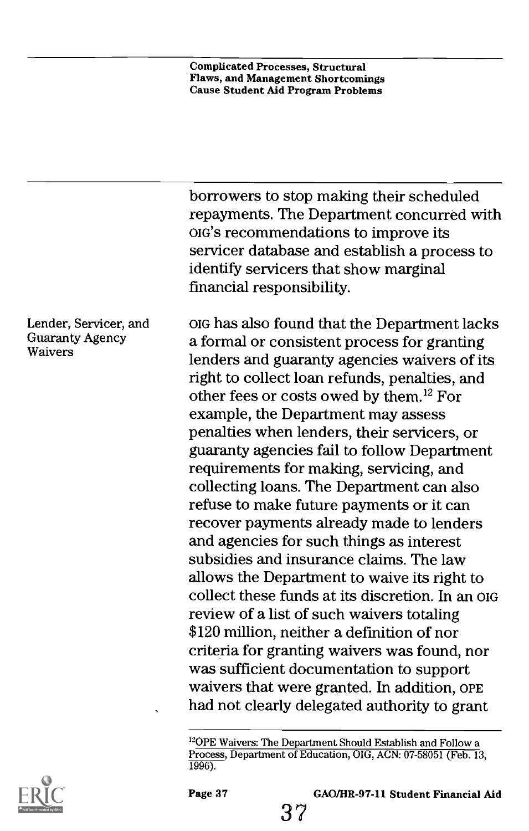|                                                     | borrowers to stop making their scheduled<br>repayments. The Department concurred with<br>OIG's recommendations to improve its<br>servicer database and establish a process to<br>identify servicers that show marginal<br>financial responsibility.                                                                                                                                                                                                                                                                                                                                                                                                                                                                                                                                                                                                                                                                                                                                                                                                    |
|-----------------------------------------------------|--------------------------------------------------------------------------------------------------------------------------------------------------------------------------------------------------------------------------------------------------------------------------------------------------------------------------------------------------------------------------------------------------------------------------------------------------------------------------------------------------------------------------------------------------------------------------------------------------------------------------------------------------------------------------------------------------------------------------------------------------------------------------------------------------------------------------------------------------------------------------------------------------------------------------------------------------------------------------------------------------------------------------------------------------------|
| Lender, Servicer, and<br>Guaranty Agency<br>Waivers | org has also found that the Department lacks<br>a formal or consistent process for granting<br>lenders and guaranty agencies waivers of its<br>right to collect loan refunds, penalties, and<br>other fees or costs owed by them. <sup>12</sup> For<br>example, the Department may assess<br>penalties when lenders, their servicers, or<br>guaranty agencies fail to follow Department<br>requirements for making, servicing, and<br>collecting loans. The Department can also<br>refuse to make future payments or it can<br>recover payments already made to lenders<br>and agencies for such things as interest<br>subsidies and insurance claims. The law<br>allows the Department to waive its right to<br>collect these funds at its discretion. In an org<br>review of a list of such waivers totaling<br>\$120 million, neither a definition of nor<br>criteria for granting waivers was found, nor<br>was sufficient documentation to support<br>waivers that were granted. In addition, OPE<br>had not clearly delegated authority to grant |
| ×,                                                  |                                                                                                                                                                                                                                                                                                                                                                                                                                                                                                                                                                                                                                                                                                                                                                                                                                                                                                                                                                                                                                                        |

 $\rm ^{12}OPE$  Waivers: The Department Should Establish and Follow a Process, Department of Education, OIG, ACN: 07-58051 (Feb. 13, 1996).

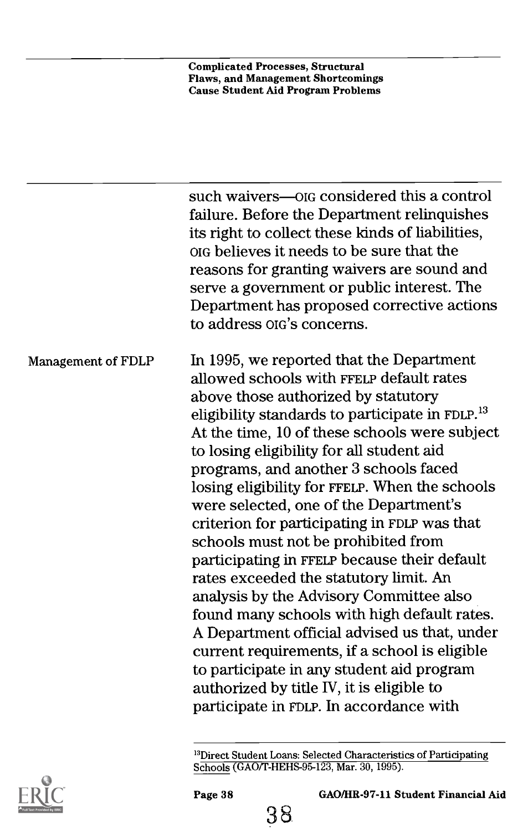|                    | such waivers-olg considered this a control<br>failure. Before the Department relinquishes<br>its right to collect these kinds of liabilities,<br>org believes it needs to be sure that the<br>reasons for granting waivers are sound and<br>serve a government or public interest. The<br>Department has proposed corrective actions<br>to address org's concerns.                                                                                                                                                                                                                                                                                                                                                                                                                                                                                                                                                                             |
|--------------------|------------------------------------------------------------------------------------------------------------------------------------------------------------------------------------------------------------------------------------------------------------------------------------------------------------------------------------------------------------------------------------------------------------------------------------------------------------------------------------------------------------------------------------------------------------------------------------------------------------------------------------------------------------------------------------------------------------------------------------------------------------------------------------------------------------------------------------------------------------------------------------------------------------------------------------------------|
| Management of FDLP | In 1995, we reported that the Department<br>allowed schools with FFELP default rates<br>above those authorized by statutory<br>eligibility standards to participate in FDLP. <sup>13</sup><br>At the time, 10 of these schools were subject<br>to losing eligibility for all student aid<br>programs, and another 3 schools faced<br>losing eligibility for FFELP. When the schools<br>were selected, one of the Department's<br>criterion for participating in FDLP was that<br>schools must not be prohibited from<br>participating in FFELP because their default<br>rates exceeded the statutory limit. An<br>analysis by the Advisory Committee also<br>found many schools with high default rates.<br>A Department official advised us that, under<br>current requirements, if a school is eligible<br>to participate in any student aid program<br>authorized by title IV, it is eligible to<br>participate in FDLP. In accordance with |
|                    |                                                                                                                                                                                                                                                                                                                                                                                                                                                                                                                                                                                                                                                                                                                                                                                                                                                                                                                                                |



Page 38 GAO/HR-97-11 Student Financial Aid

<sup>&</sup>lt;sup>13</sup>Direct Student Loans: Selected Characteristics of Participating Schools (GAO/T-HEHS-95-123, Mar. 30, 1995).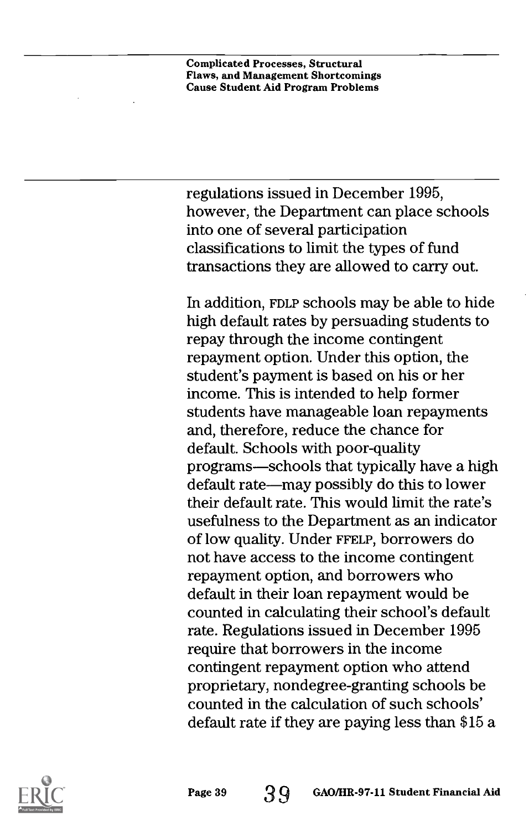regulations issued in December 1995, however, the Department can place schools into one of several participation classifications to limit the types of fund transactions they are allowed to carry out.

In addition, FDLP schools may be able to hide high default rates by persuading students to repay through the income contingent repayment option. Under this option, the student's payment is based on his or her income. This is intended to help former students have manageable loan repayments and, therefore, reduce the chance for default. Schools with poor-quality programs—schools that typically have a high default rate—may possibly do this to lower their default rate. This would limit the rate's usefulness to the Department as an indicator of low quality. Under FFELP, borrowers do not have access to the income contingent repayment option, and borrowers who default in their loan repayment would be counted in calculating their school's default rate. Regulations issued in December 1995 require that borrowers in the income contingent repayment option who attend proprietary, nondegree-granting schools be counted in the calculation of such schools' default rate if they are paying less than \$15 a

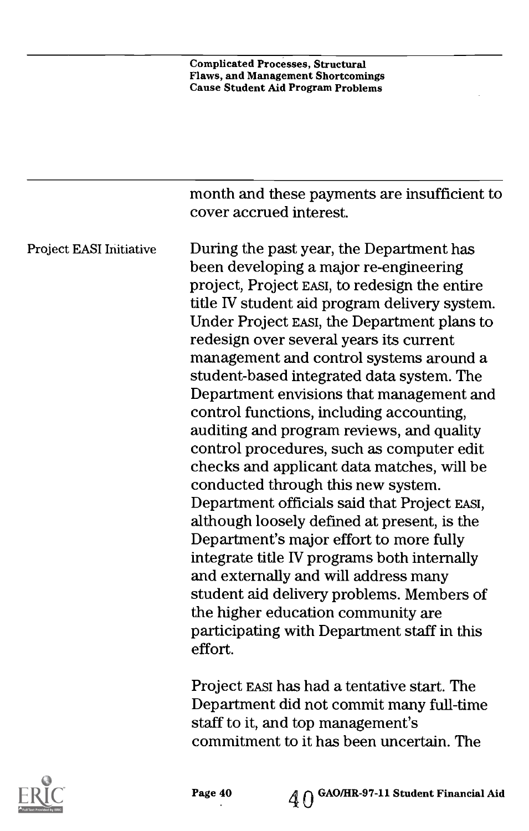|                                | month and these payments are insufficient to<br>cover accrued interest.                                                                                                                                                                                                                                                                                                                                                                                                                                                                                                                                                                                                                                                                                                                                                                                                                                                                                                                                                    |
|--------------------------------|----------------------------------------------------------------------------------------------------------------------------------------------------------------------------------------------------------------------------------------------------------------------------------------------------------------------------------------------------------------------------------------------------------------------------------------------------------------------------------------------------------------------------------------------------------------------------------------------------------------------------------------------------------------------------------------------------------------------------------------------------------------------------------------------------------------------------------------------------------------------------------------------------------------------------------------------------------------------------------------------------------------------------|
| <b>Project EASI Initiative</b> | During the past year, the Department has<br>been developing a major re-engineering<br>project, Project EASI, to redesign the entire<br>title IV student aid program delivery system.<br>Under Project EASI, the Department plans to<br>redesign over several years its current<br>management and control systems around a<br>student-based integrated data system. The<br>Department envisions that management and<br>control functions, including accounting,<br>auditing and program reviews, and quality<br>control procedures, such as computer edit<br>checks and applicant data matches, will be<br>conducted through this new system.<br>Department officials said that Project EASI,<br>although loosely defined at present, is the<br>Department's major effort to more fully<br>integrate title IV programs both internally<br>and externally and will address many<br>student aid delivery problems. Members of<br>the higher education community are<br>participating with Department staff in this<br>effort. |
|                                | Project EASI has had a tentative start. The<br>Department did not commit many full-time                                                                                                                                                                                                                                                                                                                                                                                                                                                                                                                                                                                                                                                                                                                                                                                                                                                                                                                                    |

staff to it, and top management's commitment to it has been uncertain. The

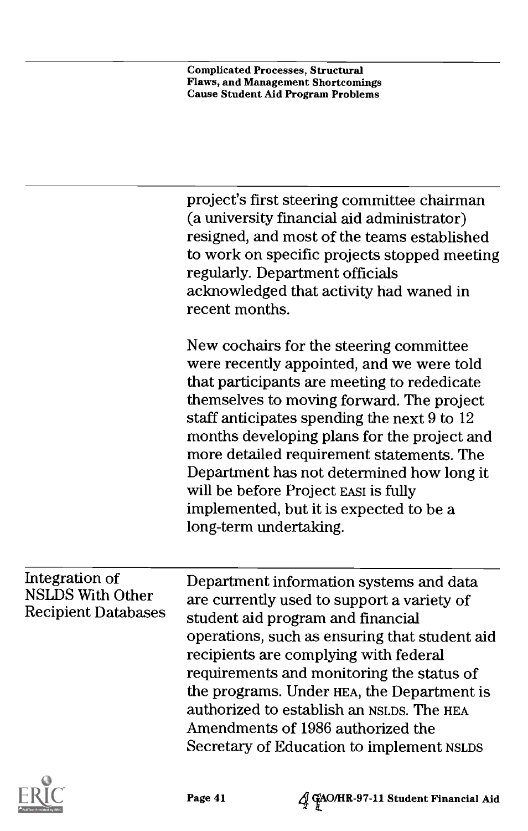| New cochairs for the steering committee<br>were recently appointed, and we were told<br>that participants are meeting to rededicate                                                                                                                                                                                                                                                                                                                                                                                       |
|---------------------------------------------------------------------------------------------------------------------------------------------------------------------------------------------------------------------------------------------------------------------------------------------------------------------------------------------------------------------------------------------------------------------------------------------------------------------------------------------------------------------------|
| themselves to moving forward. The project<br>staff anticipates spending the next 9 to 12<br>months developing plans for the project and<br>more detailed requirement statements. The<br>Department has not determined how long it<br>will be before Project EASI is fully<br>implemented, but it is expected to be a<br>long-term undertaking.                                                                                                                                                                            |
| Integration of<br>Department information systems and data<br><b>NSLDS With Other</b><br>are currently used to support a variety of<br><b>Recipient Databases</b><br>student aid program and financial<br>operations, such as ensuring that student aid<br>recipients are complying with federal<br>requirements and monitoring the status of<br>the programs. Under HEA, the Department is<br>authorized to establish an NSLDS. The HEA<br>Amendments of 1986 authorized the<br>Secretary of Education to implement NSLDS |



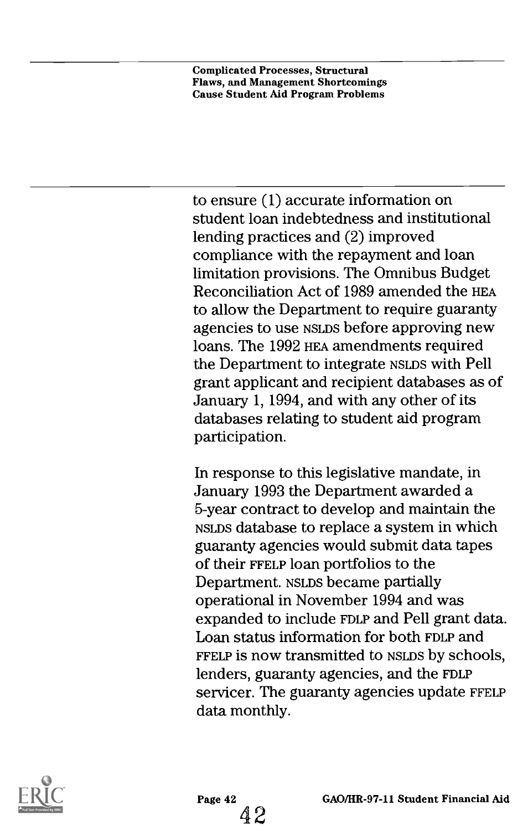to ensure (1) accurate information on student loan indebtedness and institutional lending practices and (2) improved compliance with the repayment and loan limitation provisions. The Omnibus Budget Reconciliation Act of 1989 amended the HEA to allow the Department to require guaranty agencies to use NSLDS before approving new loans. The 1992 HEA amendments required the Department to integrate NSLDS with Pell grant applicant and recipient databases as of January 1, 1994, and with any other of its databases relating to student aid program participation.

In response to this legislative mandate, in January 1993 the Department awarded a 5-year contract to develop and maintain the NSLDS database to replace a system in which guaranty agencies would submit data tapes of their FFELP loan portfolios to the Department. NSLDS became partially operational in November 1994 and was expanded to include FDLP and Pell grant data. Loan status information for both FDLP and FFELP is now transmitted to NSLDS by schools, lenders, guaranty agencies, and the FDLP servicer. The guaranty agencies update FFELP data monthly.

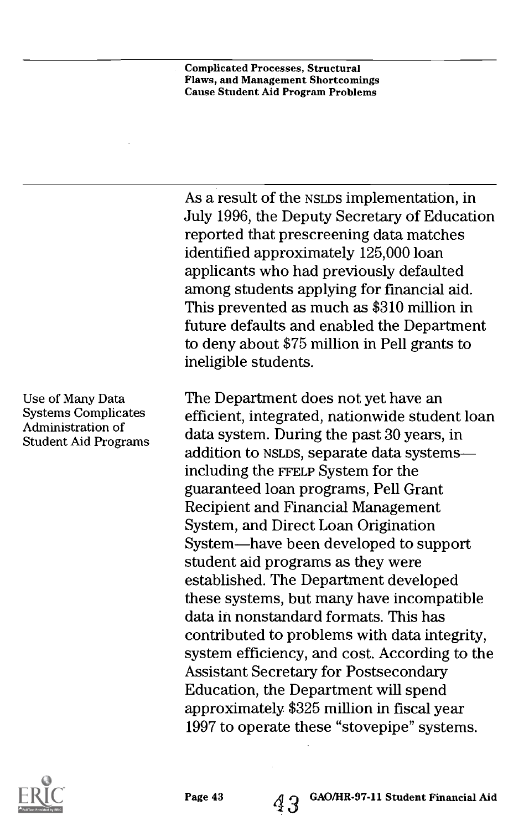As a result of the NSLDS implementation, in July 1996, the Deputy Secretary of Education reported that prescreening data matches identified approximately 125,000 loan applicants who had previously defaulted among students applying for financial aid. This prevented as much as \$310 million in future defaults and enabled the Department to deny about \$75 million in Pell grants to ineligible students.

The Department does not yet have an efficient, integrated, nationwide student loan data system. During the past 30 years, in addition to NSLDS, separate data systems including the FFELP System for the guaranteed loan programs, Pell Grant Recipient and Financial Management System, and Direct Loan Origination System-have been developed to support student aid programs as they were established. The Department developed these systems, but many have incompatible data in nonstandard formats. This has contributed to problems with data integrity, system efficiency, and cost. According to the Assistant Secretary for Postsecondary Education, the Department will spend approximately \$325 million in fiscal year 1997 to operate these "stovepipe" systems.



Use of Many Data Systems Complicates Administration of Student Aid Programs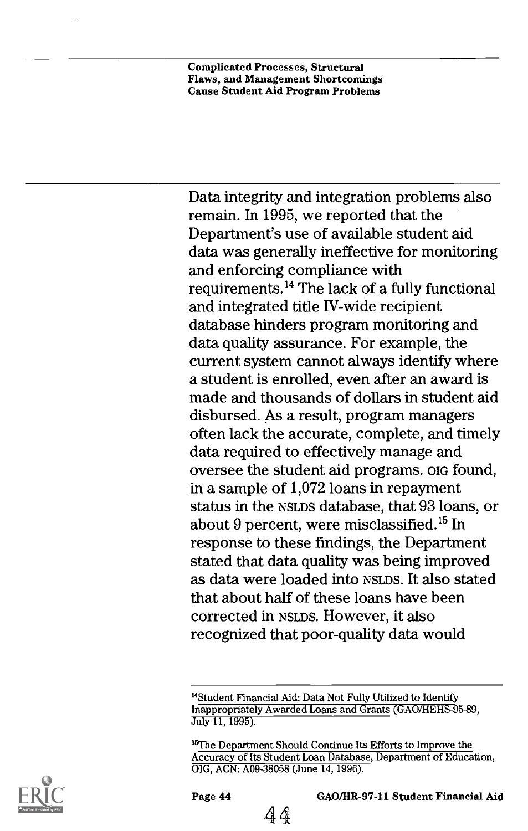Data integrity and integration problems also remain. In 1995, we reported that the Department's use of available student aid data was generally ineffective for monitoring and enforcing compliance with requirements.14 The lack of a fully functional and integrated title IV-wide recipient database hinders program monitoring and data quality assurance. For example, the current system cannot always identify where a student is enrolled, even after an award is made and thousands of dollars in student aid disbursed. As a result, program managers often lack the accurate, complete, and timely data required to effectively manage and oversee the student aid programs. OIG found, in a sample of 1,072 loans in repayment status in the NSLDS database, that 93 loans, or about 9 percent, were misclassified.<sup>15</sup> In response to these findings, the Department stated that data quality was being improved as data were loaded into NSLDS. It also stated that about half of these loans have been corrected in NSLDS. However, it also recognized that poor-quality data would

<sup>15</sup>The Department Should Continue Its Efforts to Improve the Accuracy of Its Student Loan Database, Department of Education, OIG, ACN: A09-38058 (June 14, 1996).



<sup>14</sup>Student Financial Aid: Data Not Fully Utilized to Identify Inappropriately Awarded Loans and Grants (GAO/HEHS-95-89, July 11, 1995).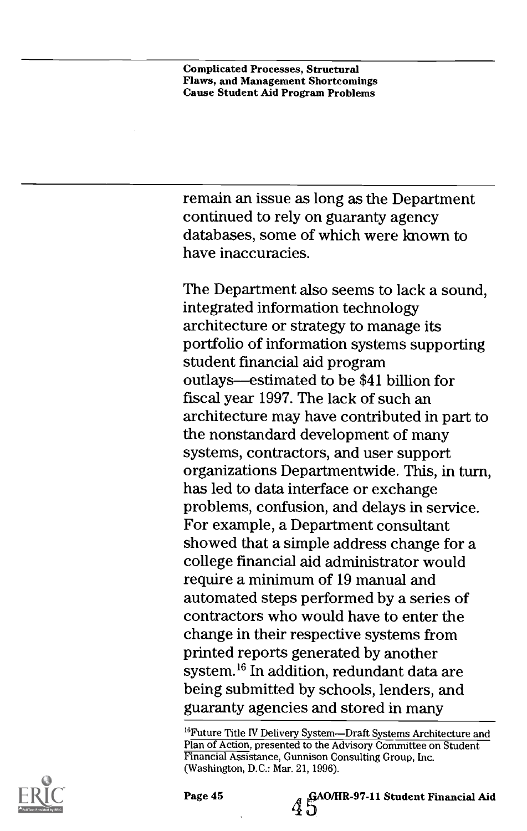remain an issue as long as the Department continued to rely on guaranty agency databases, some of which were known to have inaccuracies.

The Department also seems to lack a sound, integrated information technology architecture or strategy to manage its portfolio of information systems supporting student financial aid program outlays—estimated to be \$41 billion for fiscal year 1997. The lack of such an architecture may have contributed in part to the nonstandard development of many systems, contractors, and user support organizations Departmentwide. This, in turn, has led to data interface or exchange problems, confusion, and delays in service. For example, a Department consultant showed that a simple address change for a college financial aid administrator would require a minimum of 19 manual and automated steps performed by a series of contractors who would have to enter the change in their respective systems from printed reports generated by another system.16 In addition, redundant data are being submitted by schools, lenders, and guaranty agencies and stored in many

<sup>16</sup>Future Title IV Delivery System-Draft Systems Architecture and Plan of Action, presented to the Advisory Committee on Student Financial Assistance, Gunnison Consulting Group, Inc. (Washington, D.C.: Mar. 21, 1996).



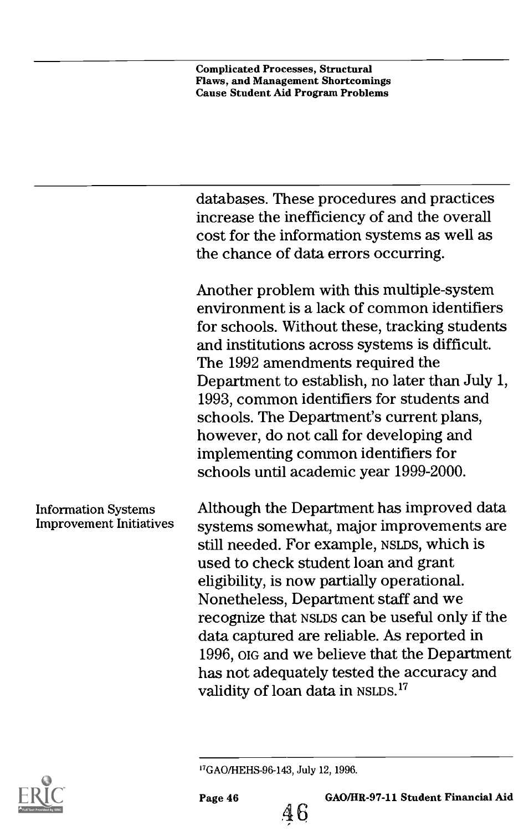databases. These procedures and practices increase the inefficiency of and the overall cost for the information systems as well as the chance of data errors occurring.

Another problem with this multiple-system environment is a lack of common identifiers for schools. Without these, tracking students and institutions across systems is difficult. The 1992 amendments required the Department to establish, no later than July 1, 1993, common identifiers for students and schools. The Department's current plans, however, do not call for developing and implementing common identifiers for schools until academic year 1999-2000.

#### Information Systems Improvement Initiatives

Although the Department has improved data systems somewhat, major improvements are still needed. For example, Nsups, which is used to check student loan and grant eligibility, is now partially operational. Nonetheless, Department staff and we recognize that NSLDS can be useful only if the data captured are reliable. As reported in 1996, OIG and we believe that the Department has not adequately tested the accuracy and validity of loan data in NSLDS.<sup>17</sup>



46

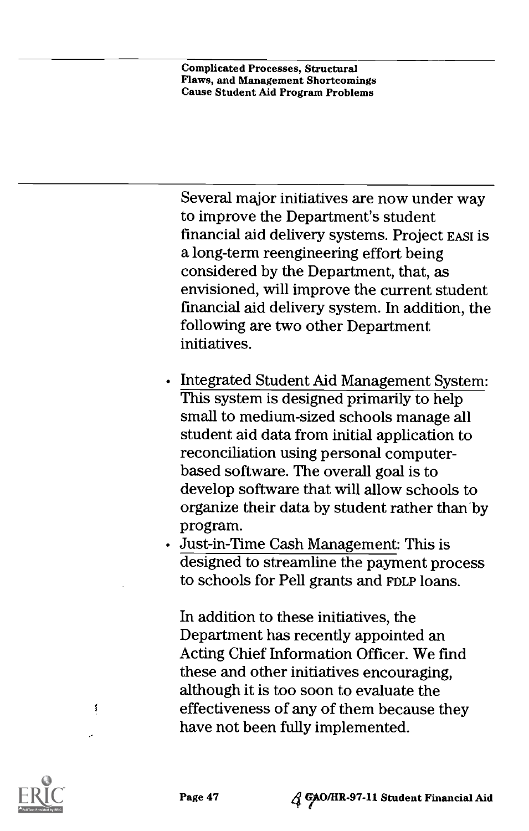Several major initiatives are now under way to improve the Department's student financial aid delivery systems. Project EAST is a long-term reengineering effort being considered by the Department, that, as envisioned, will improve the current student financial aid delivery system. In addition, the following are two other Department initiatives.

- Integrated Student Aid Management System: This system is designed primarily to help small to medium-sized schools manage all student aid data from initial application to reconciliation using personal computerbased software. The overall goal is to develop software that will allow schools to organize their data by student rather than by program.
- Just-in-Time Cash Management: This is designed to streamline the payment process to schools for Pell grants and FDLP loans.

In addition to these initiatives, the Department has recently appointed an Acting Chief Information Officer. We find these and other initiatives encouraging, although it is too soon to evaluate the effectiveness of any of them because they have not been fully implemented.



Í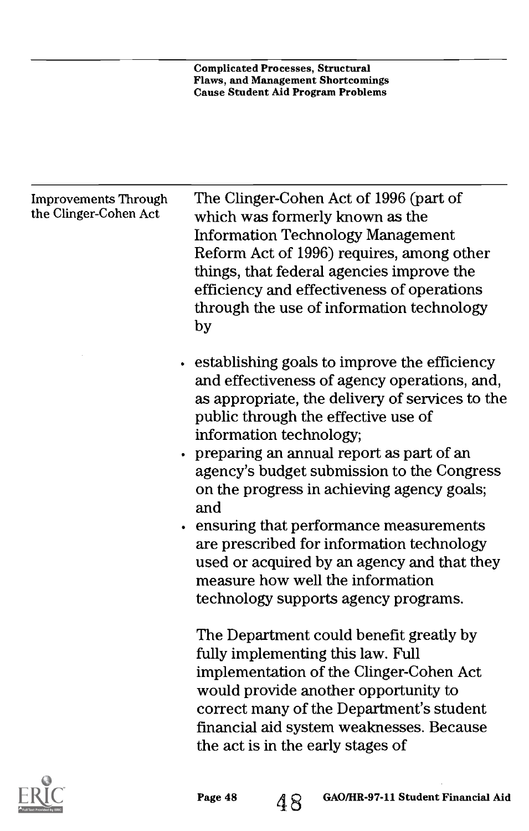| <b>Improvements Through</b> | The Clinger-Cohen Act of 1996 (part of          |
|-----------------------------|-------------------------------------------------|
| the Clinger-Cohen Act       | which was formerly known as the                 |
|                             | <b>Information Technology Management</b>        |
|                             | Reform Act of 1996) requires, among other       |
|                             | things, that federal agencies improve the       |
|                             | efficiency and effectiveness of operations      |
|                             | through the use of information technology       |
|                             | by                                              |
|                             | establishing goals to improve the efficiency    |
|                             | and effectiveness of agency operations, and,    |
|                             | as appropriate, the delivery of services to the |
|                             | public through the effective use of             |
|                             | information technology;                         |
|                             | preparing an annual report as part of an        |
|                             | agency's budget submission to the Congress      |
|                             | on the progress in achieving agency goals;      |
|                             | and                                             |
|                             | ensuring that performance measurements          |
|                             | are prescribed for information technology       |
|                             | used or acquired by an agency and that they     |
|                             | measure how well the information                |
|                             | technology supports agency programs.            |
|                             | The Department could benefit greatly by         |
|                             | fully implementing this law. Full               |
|                             | implementation of the Clinger-Cohen Act         |
|                             | would provide another opportunity to            |
|                             | correct many of the Department's student        |
|                             | financial aid system weaknesses. Because        |
|                             | the act is in the early stages of               |
|                             |                                                 |

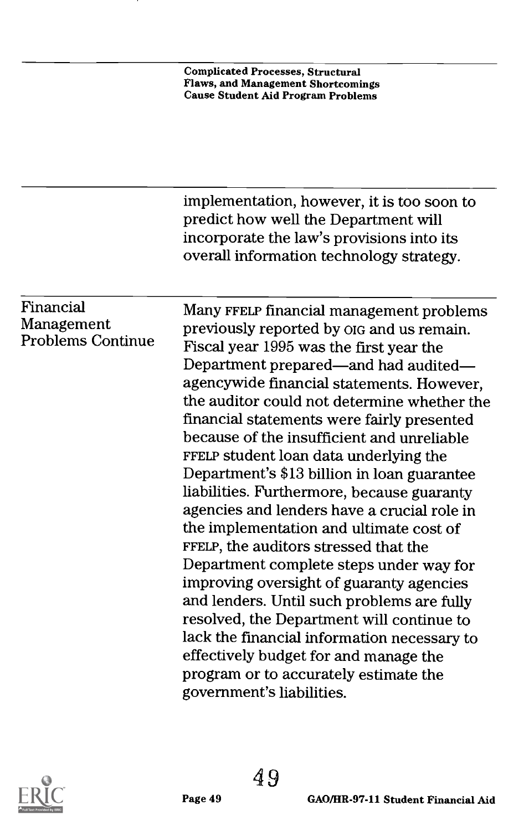|                                                     | implementation, however, it is too soon to<br>predict how well the Department will<br>incorporate the law's provisions into its<br>overall information technology strategy. |
|-----------------------------------------------------|-----------------------------------------------------------------------------------------------------------------------------------------------------------------------------|
|                                                     |                                                                                                                                                                             |
| Financial<br>Management<br><b>Problems Continue</b> | Many FFELP financial management problems                                                                                                                                    |
|                                                     | previously reported by OIG and us remain.                                                                                                                                   |
|                                                     | Fiscal year 1995 was the first year the                                                                                                                                     |
|                                                     | Department prepared—and had audited—                                                                                                                                        |
|                                                     | agencywide financial statements. However,                                                                                                                                   |
|                                                     | the auditor could not determine whether the                                                                                                                                 |
|                                                     | financial statements were fairly presented                                                                                                                                  |
|                                                     | because of the insufficient and unreliable                                                                                                                                  |
|                                                     | FFELP student loan data underlying the                                                                                                                                      |
|                                                     | Department's \$13 billion in loan guarantee                                                                                                                                 |
|                                                     | liabilities. Furthermore, because guaranty                                                                                                                                  |
|                                                     | agencies and lenders have a crucial role in<br>the implementation and ultimate cost of                                                                                      |
|                                                     | FFELP, the auditors stressed that the                                                                                                                                       |
|                                                     | Department complete steps under way for                                                                                                                                     |
|                                                     | improving oversight of guaranty agencies                                                                                                                                    |
|                                                     | and lenders. Until such problems are fully                                                                                                                                  |
|                                                     | resolved, the Department will continue to                                                                                                                                   |
|                                                     | lack the financial information necessary to                                                                                                                                 |
|                                                     | effectively budget for and manage the                                                                                                                                       |
|                                                     | program or to accurately estimate the                                                                                                                                       |
|                                                     | government's liabilities.                                                                                                                                                   |
|                                                     |                                                                                                                                                                             |

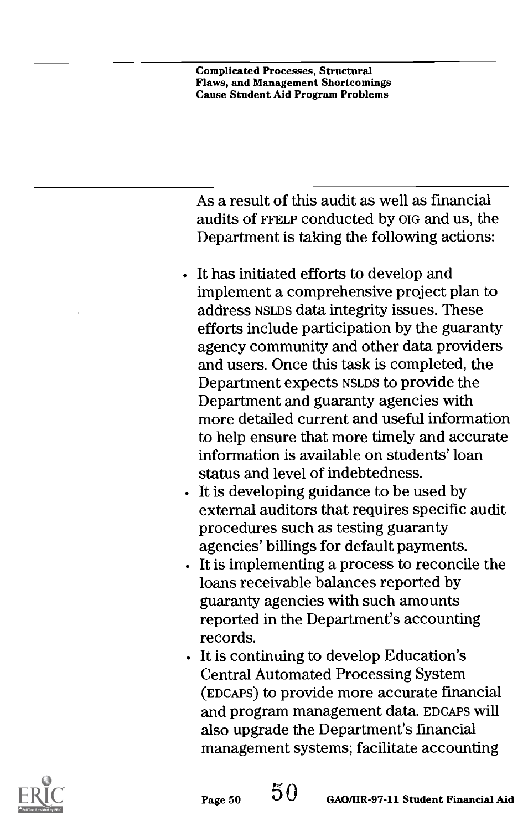As a result of this audit as well as financial audits of FFELP conducted by OIG and us, the Department is taking the following actions:

- It has initiated efforts to develop and implement a comprehensive project plan to address NSLDS data integrity issues. These efforts include participation by the guaranty agency community and other data providers and users. Once this task is completed, the Department expects NSLDS to provide the Department and guaranty agencies with more detailed current and useful information to help ensure that more timely and accurate information is available on students' loan status and level of indebtedness.
- It is developing guidance to be used by external auditors that requires specific audit procedures such as testing guaranty agencies' billings for default payments.
- It is implementing a process to reconcile the loans receivable balances reported by guaranty agencies with such amounts reported in the Department's accounting records.
- It is continuing to develop Education's Central Automated Processing System (EDcAPs) to provide more accurate financial and program management data. EDCAPS will also upgrade the Department's financial management systems; facilitate accounting

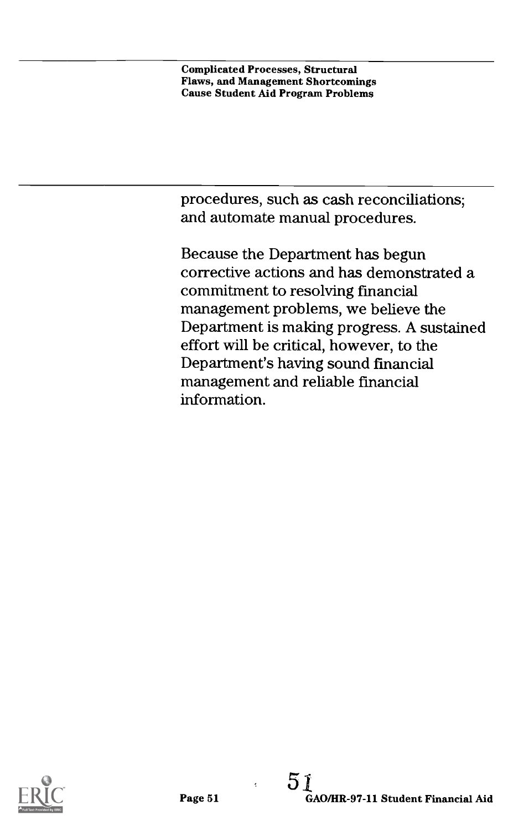procedures, such as cash reconciliations; and automate manual procedures.

Because the Department has begun corrective actions and has demonstrated a commitment to resolving fmancial management problems, we believe the Department is making progress. A sustained effort will be critical, however, to the Department's having sound financial management and reliable financial information.

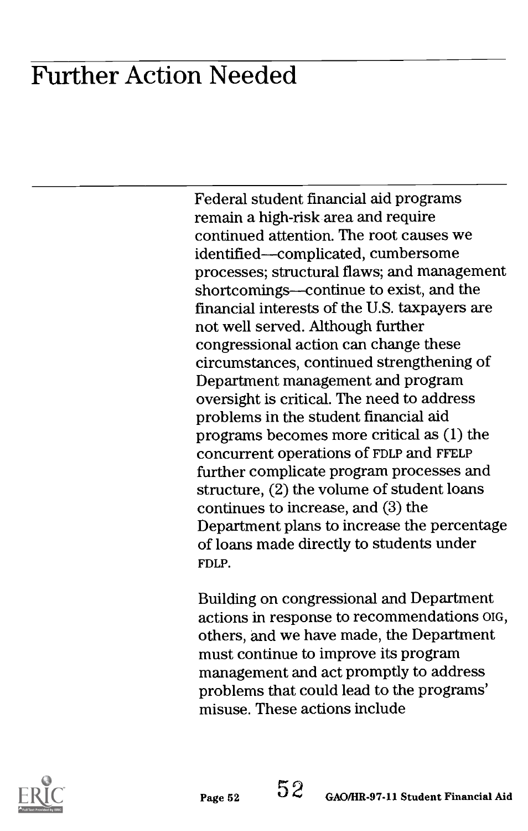## Further Action Needed

Federal student financial aid programs remain a high-risk area and require continued attention. The root causes we identified-complicated, cumbersome processes; structural flaws; and management shortcomings—continue to exist, and the financial interests of the U.S. taxpayers are not well served. Although further congressional action can change these circumstances, continued strengthening of Department management and program oversight is critical. The need to address problems in the student financial aid programs becomes more critical as (1) the concurrent operations of FDLP and FFELP further complicate program processes and structure, (2) the volume of student loans continues to increase, and (3) the Department plans to increase the percentage of loans made directly to students under FDLP.

Building on congressional and Department actions in response to recommendations OIG, others, and we have made, the Department must continue to improve its program management and act promptly to address problems that could lead to the programs' misuse. These actions include

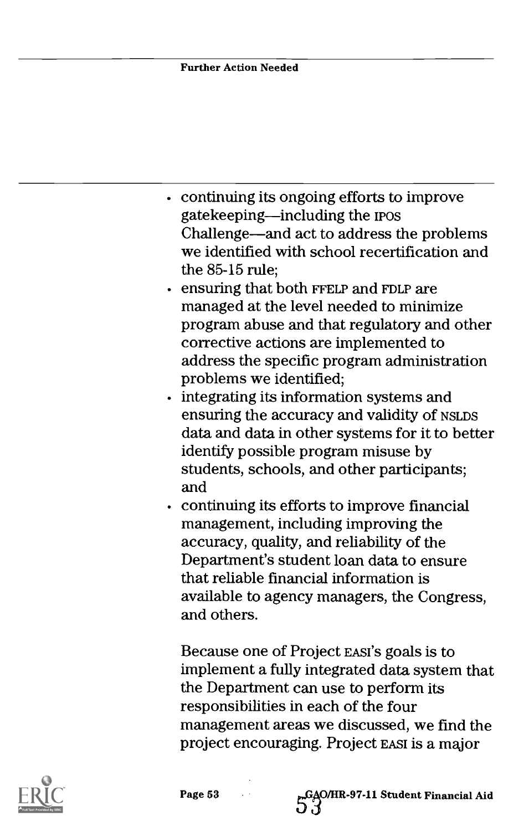#### Further Action Needed

- continuing its ongoing efforts to improve gatekeeping—including the IPOS Challenge—and act to address the problems we identified with school recertification and the 85-15 rule;
- ensuring that both FFELP and FDLP are managed at the level needed to minimize program abuse and that regulatory and other corrective actions are implemented to address the specific program administration problems we identified;
- $\cdot$  integrating its information systems and ensuring the accuracy and validity of NSLDS data and data in other systems for it to better identify possible program misuse by students, schools, and other participants; and
- continuing its efforts to improve financial management, including improving the accuracy, quality, and reliability of the Department's student loan data to ensure that reliable financial information is available to agency managers, the Congress, and others.

Because one of Project EASI'S goals is to implement a fully integrated data system that the Department can use to perform its responsibilities in each of the four management areas we discussed, we find the project encouraging. Project EAST is a major

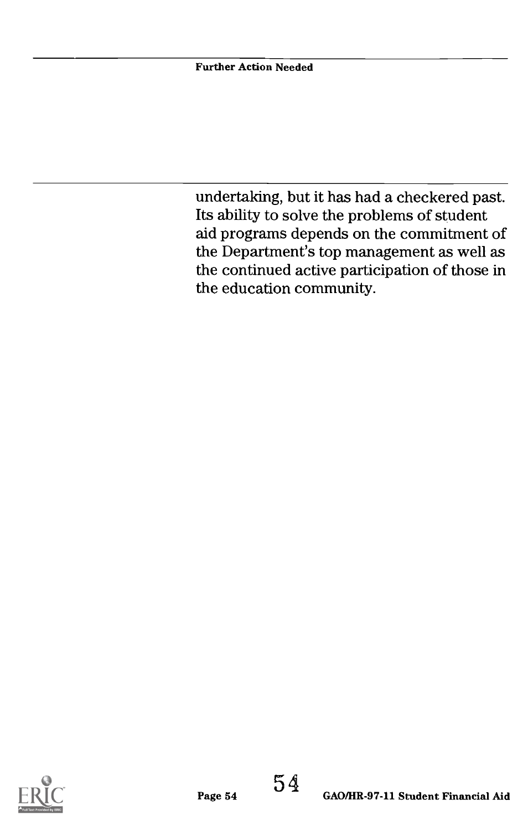undertaking, but it has had a checkered past. Its ability to solve the problems of student aid programs depends on the commitment of the Department's top management as well as the continued active participation of those in the education community.

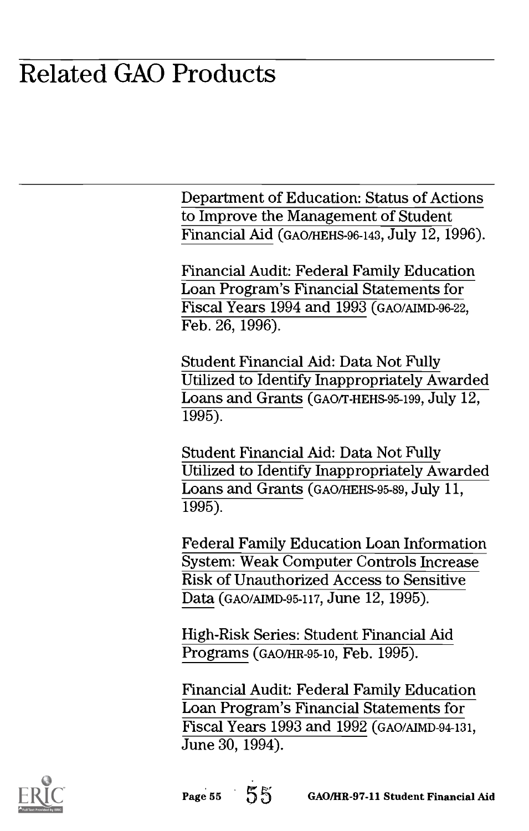### Related GAO Products

Department of Education: Status of Actions to Improve the Management of Student Financial Aid (GAO/HEHS-96-143, July 12, 1996).

Financial Audit: Federal Family Education Loan Program's Financial Statements for Fiscal Years 1994 and 1993 (GAO/AIMD-96-22, Feb. 26, 1996).

Student Financial Aid: Data Not Fully Utilized to Identify Inappropriately Awarded Loans and Grants (GAO/T-HEHS-95-199, July 12,  $1995$ ).

Student Financial Aid: Data Not Fully Utilized to Identify Inappropriately Awarded Loans and Grants (GAO/HEHS-95-89, July 11,  $1995$ ).

Federal Family Education Loan Information System: Weak Computer Controls Increase Risk of Unauthorized Access to Sensitive Data (GAO/AIMD-95-117, June 12, 1995).

High-Risk Series: Student Financial Aid Programs (GAO/HR-95-10, Feb. 1995).

Financial Audit: Federal Family Education Loan Program's Financial Statements for Fiscal Years 1993 and 1992 (GAO/AIMD-94-131, June 30, 1994).

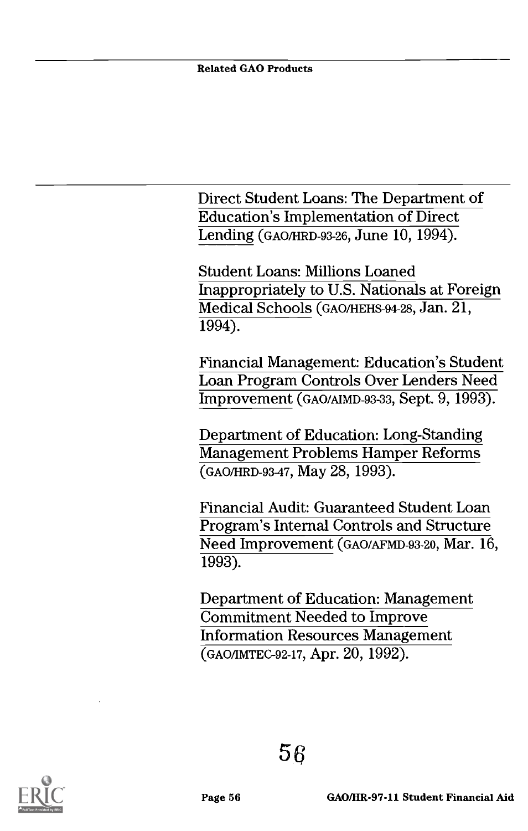Direct Student Loans: The Department of Education's Implementation of Direct Lending (GAO/HRD-93-26, June 10, 1994).

Student Loans: Millions Loaned Inappropriately to U.S. Nationals at Foreign Medical Schools (GAO/HEHS-94-28, Jan. 21, 1994).

Financial Management: Education's Student Loan Program Controls Over Lenders Need Improvement (GAO/AIMD-93-33, Sept. 9, 1993).

Department of Education: Long-Standing Management Problems Hamper Reforms (GAO/HRD-93-47, May 28, 1993).

Financial Audit: Guaranteed Student Loan Program's Internal Controls and Structure Need Improvement (GAO/AFMD-93-20, Mar. 16, 1993).

Department of Education: Management Commitment Needed to Improve Information Resources Management (GAO/IMTEC-92-17, Apr. 20, 1992).

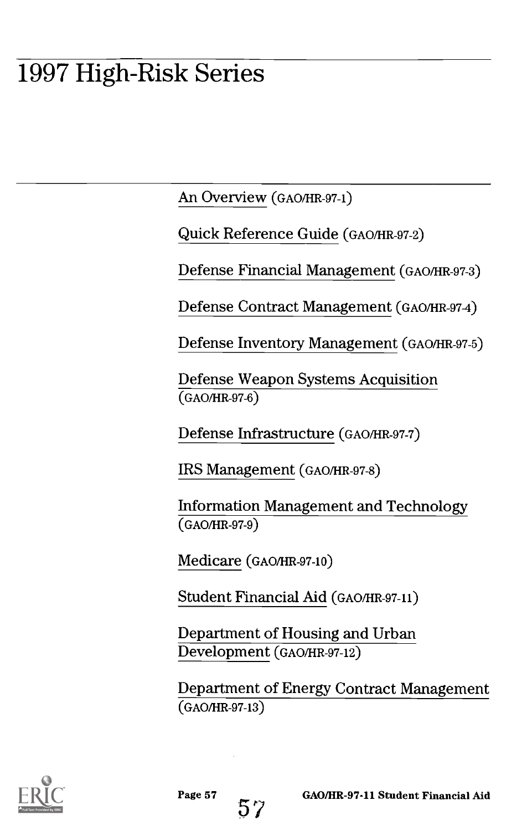## 1997 High-Risk Series

An Overview (GAO/HR-97-1)

Quick Reference Guide (GAO/HR-97-2)

Defense Financial Management (GAO/HR-97-3)

Defense Contract Management (GAO/HR-97-4)

Defense Inventory Management (GAO/HR-97-5)

Defense Weapon Systems Acquisition (GAO/HR-97-6)

Defense Infrastructure (GAO/HR-97-7)

IRS Management (GAO/HR-97-8)

Information Management and Technology (GAO/HR-97-9)

Medicare (GAO/HR-97-10)

Student Financial Aid (GAO/HR-97-11)

Department of Housing and Urban Development (GAO/HR-97-12)

Department of Energy Contract Management (GAO/HR-97-13)



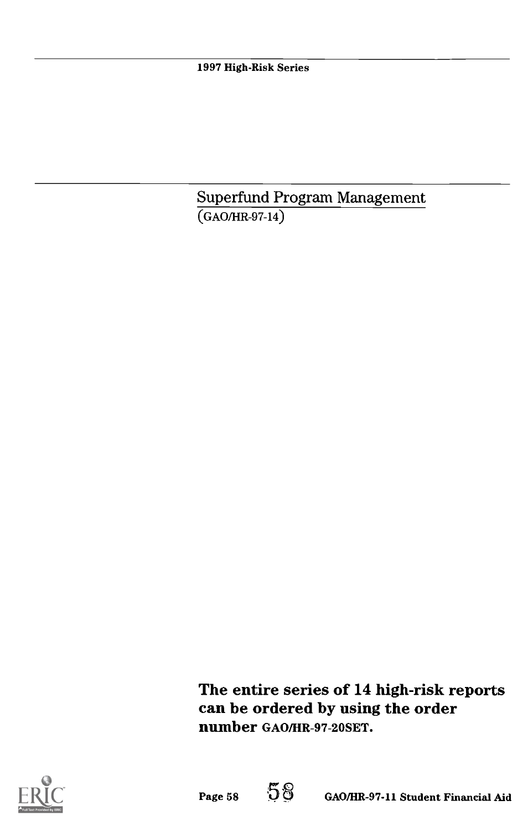1997 High-Risk Series

Superfund Program Management (GAO/HR-97-14)

The entire series of 14 high-risk reports can be ordered by using the order number GAO/HR-97-20SET.



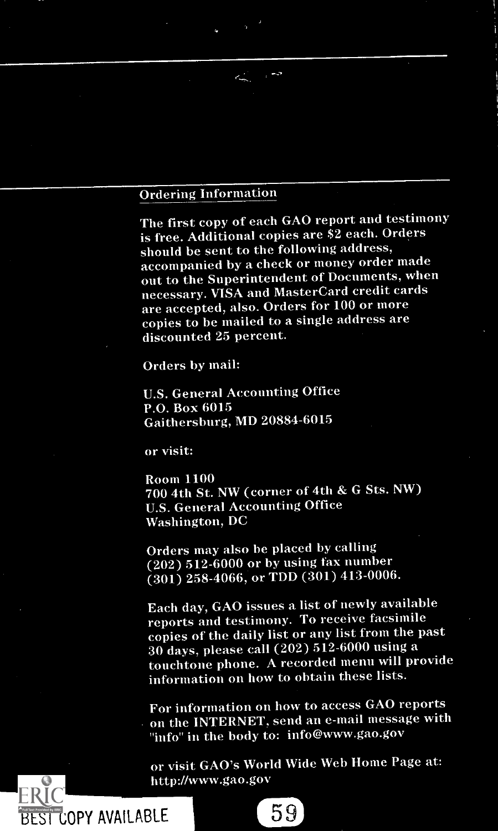#### Ordering Information

The first copy of each GAO report and testimony is free. Additional copies are \$2 each. Orders should be sent to the following address, accompanied by a check or money order made out to the Superintendent of Documents, when necessary. VISA and MasterCard credit cards are accepted, also. Orders for 100 or more copies to be mailed to a single address are discounted 25 percent.

Orders by mail:

U.S. General Accounting Office P.O. Box 6015 Gaithersburg, MD 20884-6015

or visit:

BEST COPY AVAILABLE

Room 1100 700 4th St. NW (corner of 4th & G Sts. NW) U.S. General Accounting Office Washington, DC

Orders may also be placed by calling (202) 512-6000 or by using fax number (301) 258-4066, or TDD (301) 413-0006.

Each day, GAO issues a list of newly available reports and testimony. To receive facsimile copies of the daily list or any list from the past 30 days, please call (202) 512-6000 using a touchtone phone. A recorded menu will provide information on how to obtain these lists.

For information on how to access GAO reports on the INTERNET, send an e-mail message with "info" in the body to: info@www.gao.gov

or visit GAO's World Wide Web Home Page at: http://www.gao.gov

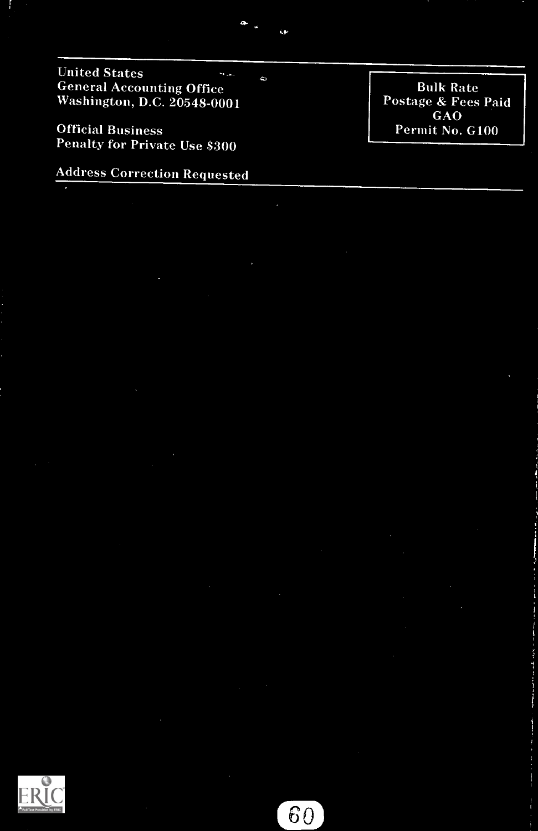United States  $\mathbf{v}_{\text{max}}$ General Accounting Office Washington, D.C. 20548-0001

ò.

Official Business Penalty for Private Use 8300

Address Correction Requested

Bulk Rate Postage & Fees Paid<br>GAO GAO Permit No. G100